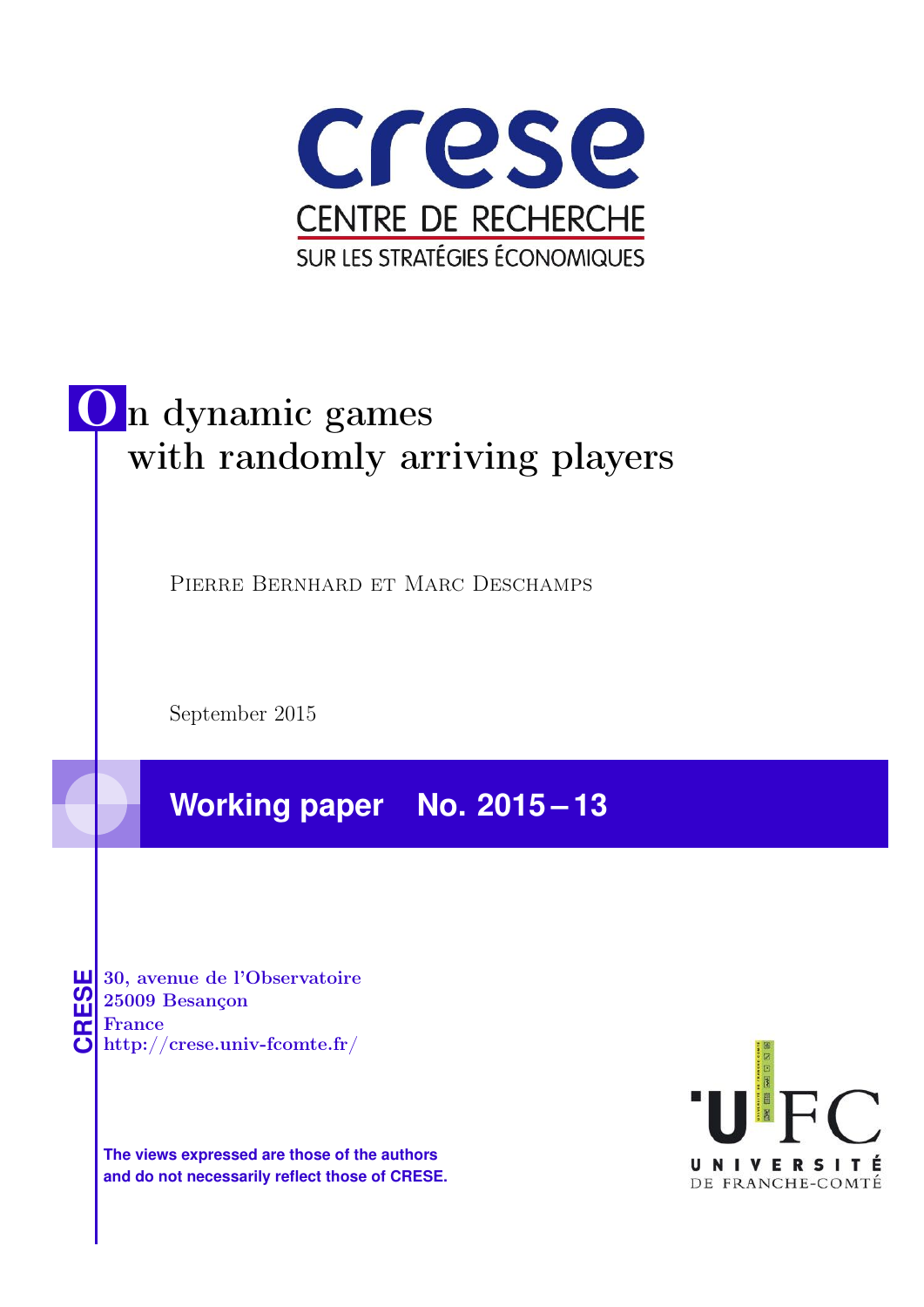

# O n dynamic games with randomly arriving players

Pierre Bernhard et Marc Deschamps

September 2015

**Working paper No. 2015 – 13**

**CRESE 30, avenue de l'Observatoire<br>
25009 Besançon<br>
France<br>
<b>CRESE de l'Observatoire**<br>
Http://crese.univ-fcomte.fr/ 25009 Besançon France

**The views expressed are those of the authors and do not necessarily reflect those of CRESE.**

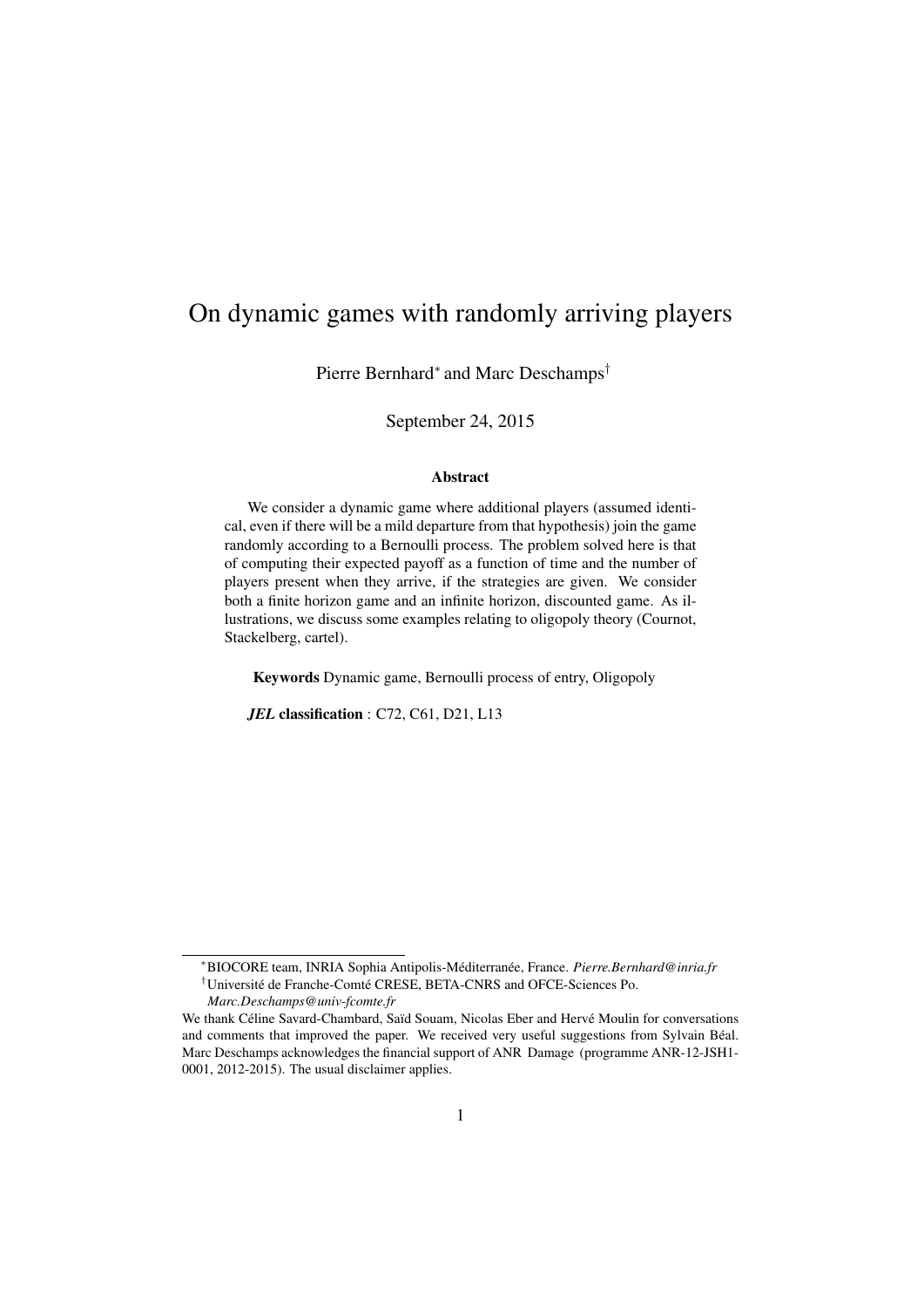# On dynamic games with randomly arriving players

Pierre Bernhard<sup>∗</sup> and Marc Deschamps<sup>†</sup>

September 24, 2015

#### Abstract

We consider a dynamic game where additional players (assumed identical, even if there will be a mild departure from that hypothesis) join the game randomly according to a Bernoulli process. The problem solved here is that of computing their expected payoff as a function of time and the number of players present when they arrive, if the strategies are given. We consider both a finite horizon game and an infinite horizon, discounted game. As illustrations, we discuss some examples relating to oligopoly theory (Cournot, Stackelberg, cartel).

Keywords Dynamic game, Bernoulli process of entry, Oligopoly

*JEL* classification : C72, C61, D21, L13

<sup>∗</sup>BIOCORE team, INRIA Sophia Antipolis-Mediterran ´ ee, France. ´ *Pierre.Bernhard@inria.fr* <sup>†</sup>Université de Franche-Comté CRESE, BETA-CNRS and OFCE-Sciences Po.

*Marc.Deschamps@univ-fcomte.fr*

We thank Céline Savard-Chambard, Saïd Souam, Nicolas Eber and Hervé Moulin for conversations and comments that improved the paper. We received very useful suggestions from Sylvain Béal. Marc Deschamps acknowledges the financial support of ANR Damage (programme ANR-12-JSH1- 0001, 2012-2015). The usual disclaimer applies.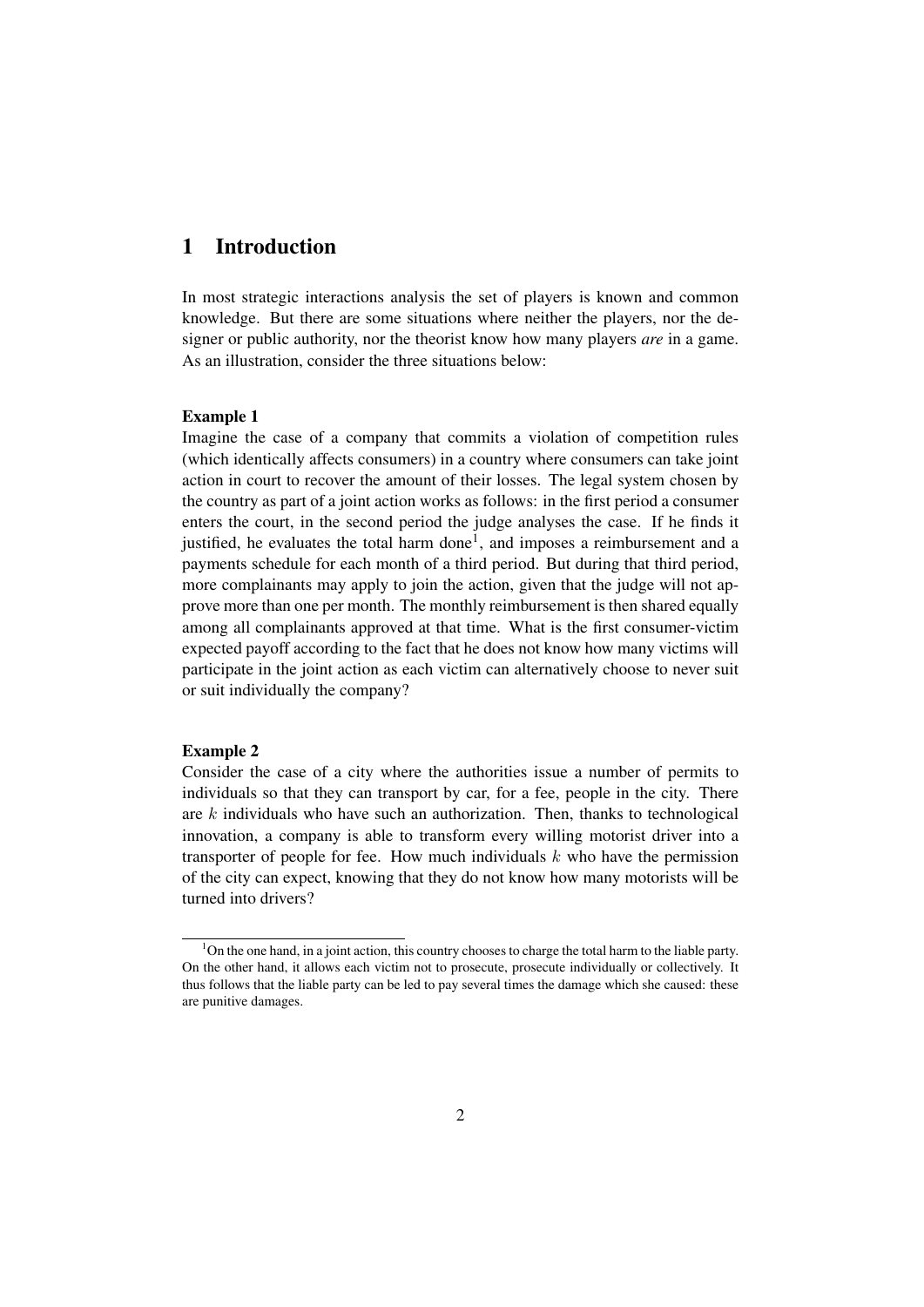## 1 Introduction

In most strategic interactions analysis the set of players is known and common knowledge. But there are some situations where neither the players, nor the designer or public authority, nor the theorist know how many players *are* in a game. As an illustration, consider the three situations below:

#### Example 1

Imagine the case of a company that commits a violation of competition rules (which identically affects consumers) in a country where consumers can take joint action in court to recover the amount of their losses. The legal system chosen by the country as part of a joint action works as follows: in the first period a consumer enters the court, in the second period the judge analyses the case. If he finds it justified, he evaluates the total harm done<sup>1</sup>, and imposes a reimbursement and a payments schedule for each month of a third period. But during that third period, more complainants may apply to join the action, given that the judge will not approve more than one per month. The monthly reimbursement is then shared equally among all complainants approved at that time. What is the first consumer-victim expected payoff according to the fact that he does not know how many victims will participate in the joint action as each victim can alternatively choose to never suit or suit individually the company?

#### Example 2

Consider the case of a city where the authorities issue a number of permits to individuals so that they can transport by car, for a fee, people in the city. There are  $k$  individuals who have such an authorization. Then, thanks to technological innovation, a company is able to transform every willing motorist driver into a transporter of people for fee. How much individuals  $k$  who have the permission of the city can expect, knowing that they do not know how many motorists will be turned into drivers?

 $1<sup>1</sup>$ On the one hand, in a joint action, this country chooses to charge the total harm to the liable party. On the other hand, it allows each victim not to prosecute, prosecute individually or collectively. It thus follows that the liable party can be led to pay several times the damage which she caused: these are punitive damages.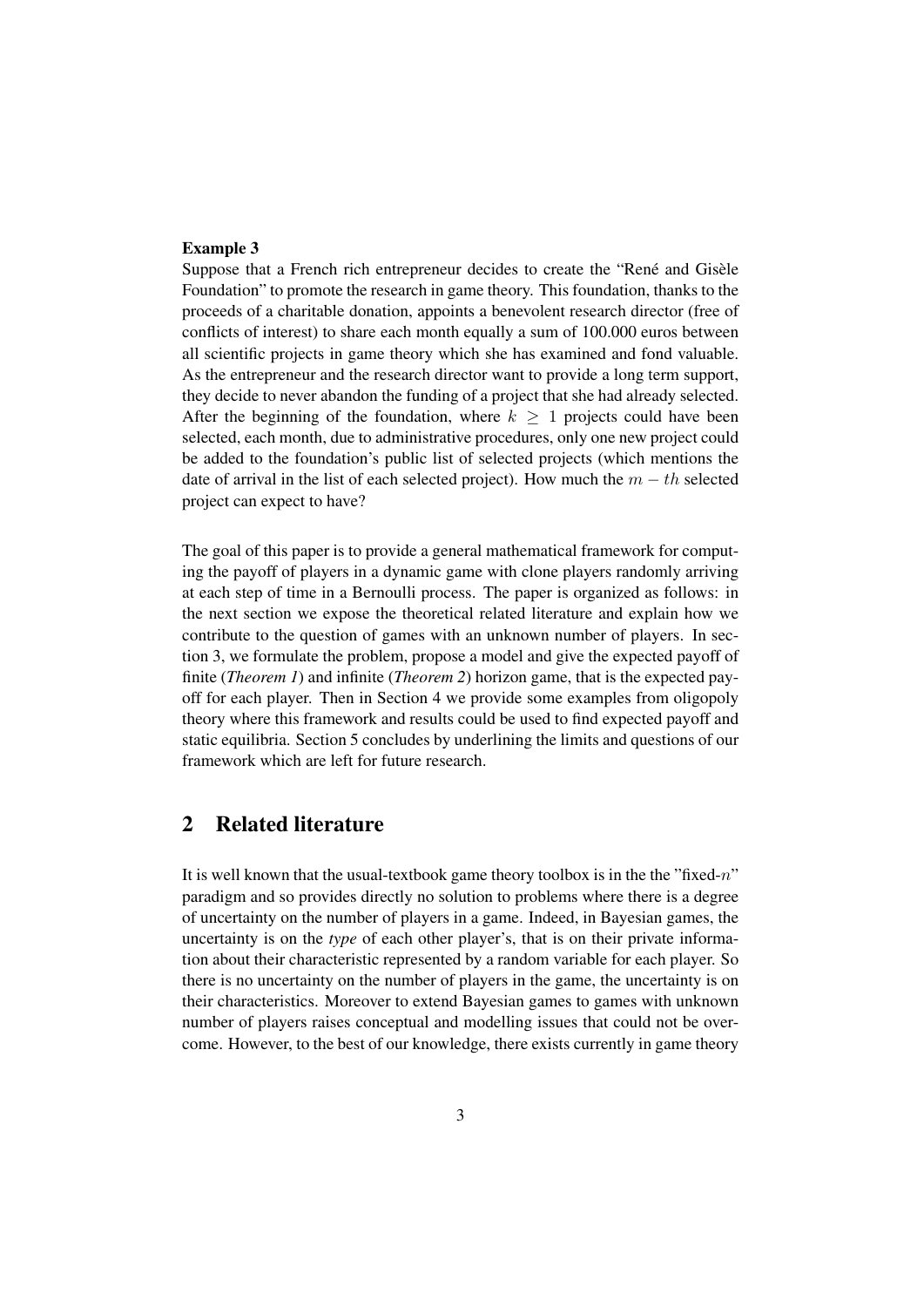#### Example 3

Suppose that a French rich entrepreneur decides to create the "René and Gisèle Foundation" to promote the research in game theory. This foundation, thanks to the proceeds of a charitable donation, appoints a benevolent research director (free of conflicts of interest) to share each month equally a sum of 100.000 euros between all scientific projects in game theory which she has examined and fond valuable. As the entrepreneur and the research director want to provide a long term support, they decide to never abandon the funding of a project that she had already selected. After the beginning of the foundation, where  $k \geq 1$  projects could have been selected, each month, due to administrative procedures, only one new project could be added to the foundation's public list of selected projects (which mentions the date of arrival in the list of each selected project). How much the  $m - th$  selected project can expect to have?

The goal of this paper is to provide a general mathematical framework for computing the payoff of players in a dynamic game with clone players randomly arriving at each step of time in a Bernoulli process. The paper is organized as follows: in the next section we expose the theoretical related literature and explain how we contribute to the question of games with an unknown number of players. In section 3, we formulate the problem, propose a model and give the expected payoff of finite (*Theorem 1*) and infinite (*Theorem 2*) horizon game, that is the expected payoff for each player. Then in Section 4 we provide some examples from oligopoly theory where this framework and results could be used to find expected payoff and static equilibria. Section 5 concludes by underlining the limits and questions of our framework which are left for future research.

## 2 Related literature

It is well known that the usual-textbook game theory toolbox is in the the "fixed-n" paradigm and so provides directly no solution to problems where there is a degree of uncertainty on the number of players in a game. Indeed, in Bayesian games, the uncertainty is on the *type* of each other player's, that is on their private information about their characteristic represented by a random variable for each player. So there is no uncertainty on the number of players in the game, the uncertainty is on their characteristics. Moreover to extend Bayesian games to games with unknown number of players raises conceptual and modelling issues that could not be overcome. However, to the best of our knowledge, there exists currently in game theory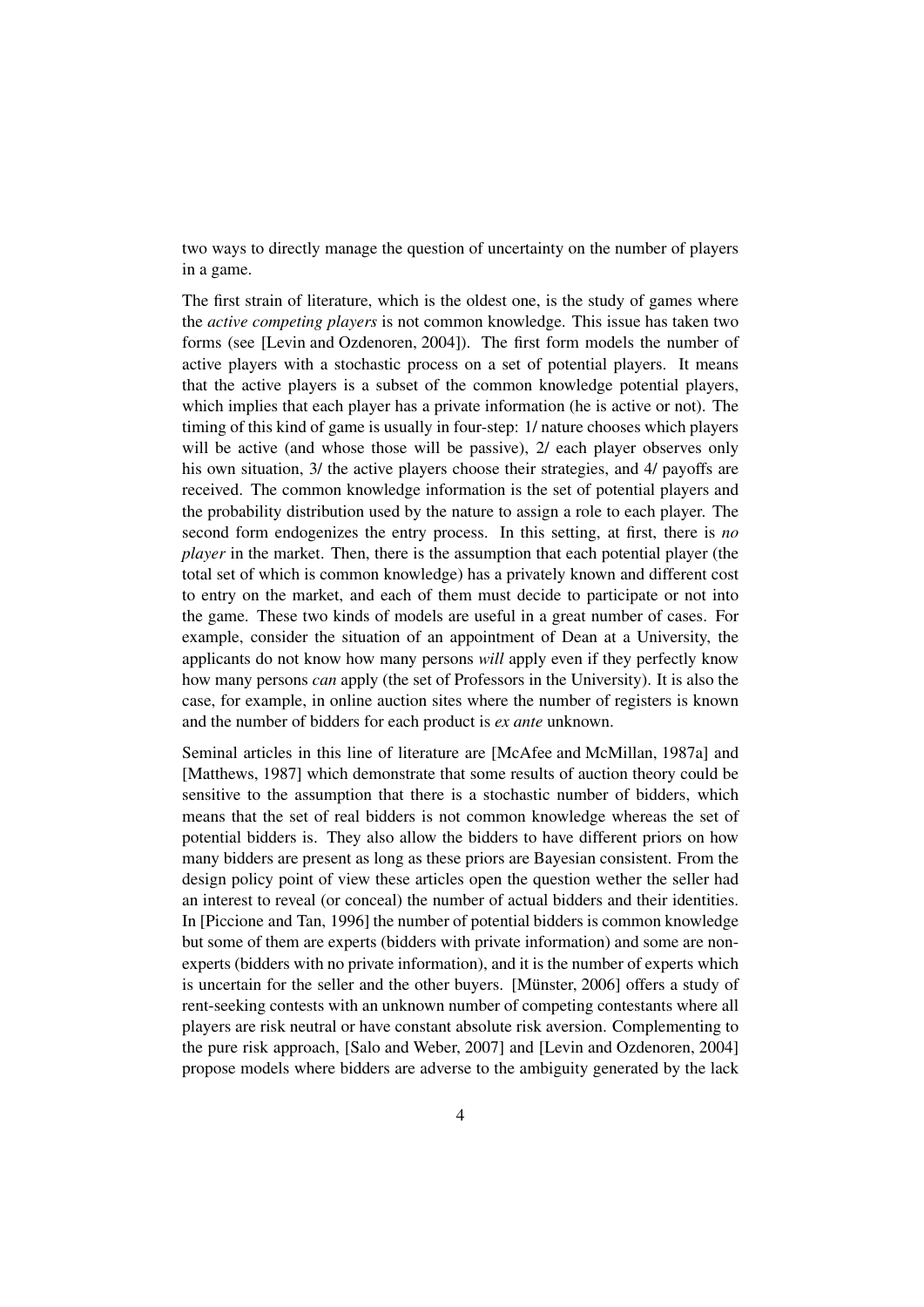two ways to directly manage the question of uncertainty on the number of players in a game.

The first strain of literature, which is the oldest one, is the study of games where the *active competing players* is not common knowledge. This issue has taken two forms (see [Levin and Ozdenoren, 2004]). The first form models the number of active players with a stochastic process on a set of potential players. It means that the active players is a subset of the common knowledge potential players, which implies that each player has a private information (he is active or not). The timing of this kind of game is usually in four-step: 1/ nature chooses which players will be active (and whose those will be passive), 2/ each player observes only his own situation, 3/ the active players choose their strategies, and 4/ payoffs are received. The common knowledge information is the set of potential players and the probability distribution used by the nature to assign a role to each player. The second form endogenizes the entry process. In this setting, at first, there is *no player* in the market. Then, there is the assumption that each potential player (the total set of which is common knowledge) has a privately known and different cost to entry on the market, and each of them must decide to participate or not into the game. These two kinds of models are useful in a great number of cases. For example, consider the situation of an appointment of Dean at a University, the applicants do not know how many persons *will* apply even if they perfectly know how many persons *can* apply (the set of Professors in the University). It is also the case, for example, in online auction sites where the number of registers is known and the number of bidders for each product is *ex ante* unknown.

Seminal articles in this line of literature are [McAfee and McMillan, 1987a] and [Matthews, 1987] which demonstrate that some results of auction theory could be sensitive to the assumption that there is a stochastic number of bidders, which means that the set of real bidders is not common knowledge whereas the set of potential bidders is. They also allow the bidders to have different priors on how many bidders are present as long as these priors are Bayesian consistent. From the design policy point of view these articles open the question wether the seller had an interest to reveal (or conceal) the number of actual bidders and their identities. In [Piccione and Tan, 1996] the number of potential bidders is common knowledge but some of them are experts (bidders with private information) and some are nonexperts (bidders with no private information), and it is the number of experts which is uncertain for the seller and the other buyers. [Münster,  $2006$ ] offers a study of rent-seeking contests with an unknown number of competing contestants where all players are risk neutral or have constant absolute risk aversion. Complementing to the pure risk approach, [Salo and Weber, 2007] and [Levin and Ozdenoren, 2004] propose models where bidders are adverse to the ambiguity generated by the lack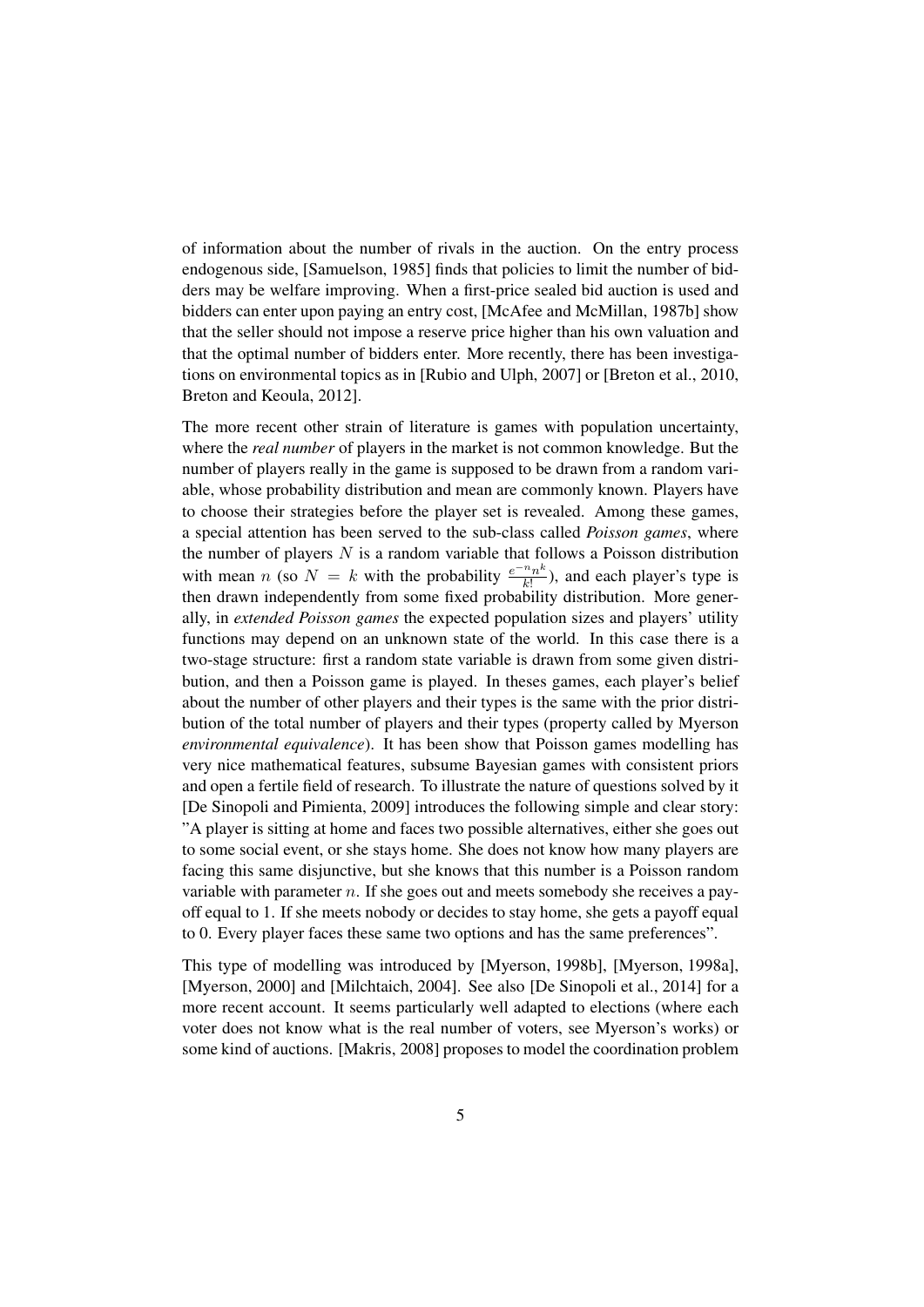of information about the number of rivals in the auction. On the entry process endogenous side, [Samuelson, 1985] finds that policies to limit the number of bidders may be welfare improving. When a first-price sealed bid auction is used and bidders can enter upon paying an entry cost, [McAfee and McMillan, 1987b] show that the seller should not impose a reserve price higher than his own valuation and that the optimal number of bidders enter. More recently, there has been investigations on environmental topics as in [Rubio and Ulph, 2007] or [Breton et al., 2010, Breton and Keoula, 2012].

The more recent other strain of literature is games with population uncertainty, where the *real number* of players in the market is not common knowledge. But the number of players really in the game is supposed to be drawn from a random variable, whose probability distribution and mean are commonly known. Players have to choose their strategies before the player set is revealed. Among these games, a special attention has been served to the sub-class called *Poisson games*, where the number of players  $N$  is a random variable that follows a Poisson distribution with mean n (so  $N = k$  with the probability  $\frac{e^{-n}n^k}{k!}$  $\frac{n_n^{n}}{k!}$ ), and each player's type is then drawn independently from some fixed probability distribution. More generally, in *extended Poisson games* the expected population sizes and players' utility functions may depend on an unknown state of the world. In this case there is a two-stage structure: first a random state variable is drawn from some given distribution, and then a Poisson game is played. In theses games, each player's belief about the number of other players and their types is the same with the prior distribution of the total number of players and their types (property called by Myerson *environmental equivalence*). It has been show that Poisson games modelling has very nice mathematical features, subsume Bayesian games with consistent priors and open a fertile field of research. To illustrate the nature of questions solved by it [De Sinopoli and Pimienta, 2009] introduces the following simple and clear story: "A player is sitting at home and faces two possible alternatives, either she goes out to some social event, or she stays home. She does not know how many players are facing this same disjunctive, but she knows that this number is a Poisson random variable with parameter  $n$ . If she goes out and meets somebody she receives a payoff equal to 1. If she meets nobody or decides to stay home, she gets a payoff equal to 0. Every player faces these same two options and has the same preferences".

This type of modelling was introduced by [Myerson, 1998b], [Myerson, 1998a], [Myerson, 2000] and [Milchtaich, 2004]. See also [De Sinopoli et al., 2014] for a more recent account. It seems particularly well adapted to elections (where each voter does not know what is the real number of voters, see Myerson's works) or some kind of auctions. [Makris, 2008] proposes to model the coordination problem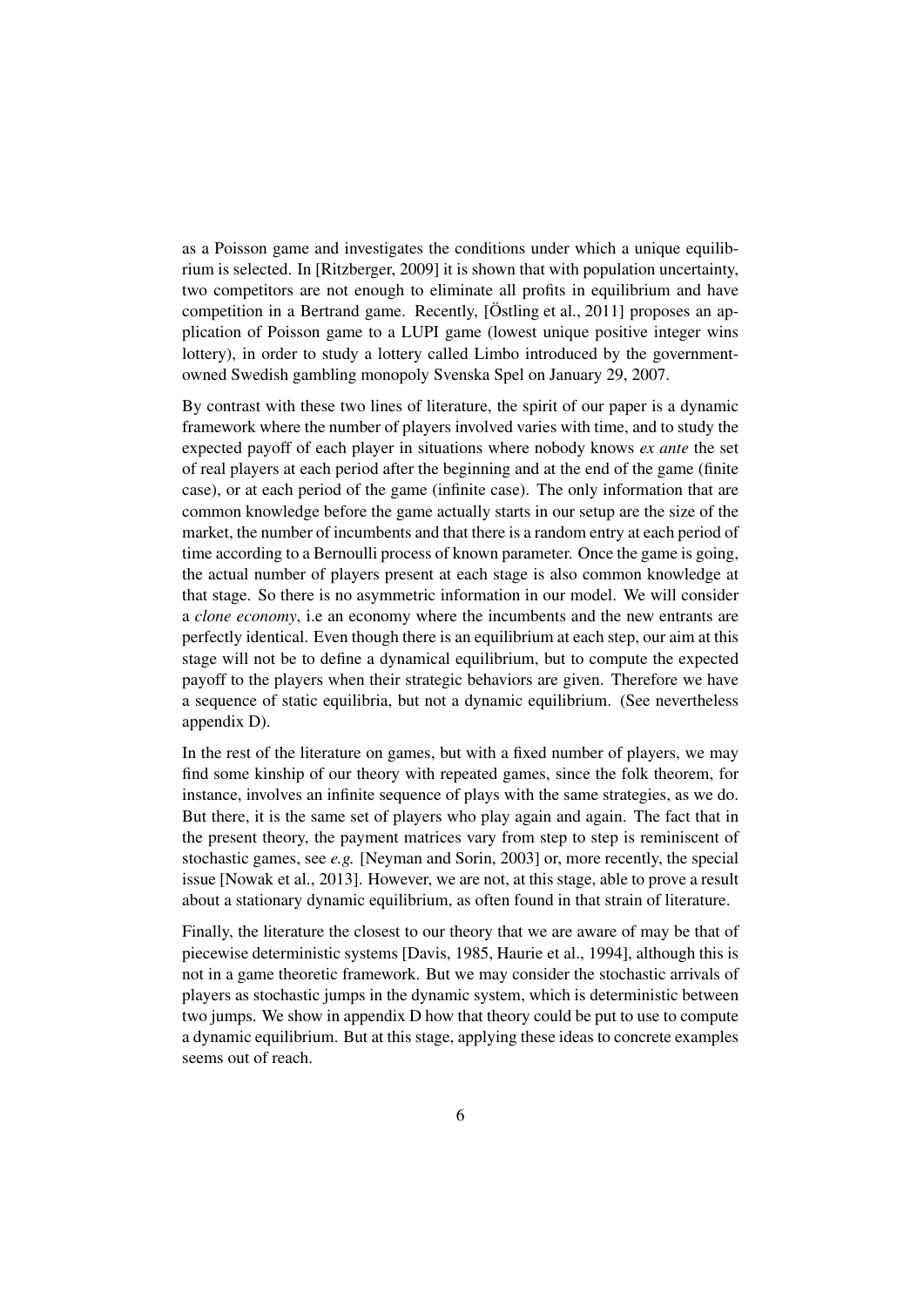as a Poisson game and investigates the conditions under which a unique equilibrium is selected. In [Ritzberger, 2009] it is shown that with population uncertainty, two competitors are not enough to eliminate all profits in equilibrium and have competition in a Bertrand game. Recently,  $\ddot{\text{O}}$ stling et al., 2011] proposes an application of Poisson game to a LUPI game (lowest unique positive integer wins lottery), in order to study a lottery called Limbo introduced by the governmentowned Swedish gambling monopoly Svenska Spel on January 29, 2007.

By contrast with these two lines of literature, the spirit of our paper is a dynamic framework where the number of players involved varies with time, and to study the expected payoff of each player in situations where nobody knows *ex ante* the set of real players at each period after the beginning and at the end of the game (finite case), or at each period of the game (infinite case). The only information that are common knowledge before the game actually starts in our setup are the size of the market, the number of incumbents and that there is a random entry at each period of time according to a Bernoulli process of known parameter. Once the game is going, the actual number of players present at each stage is also common knowledge at that stage. So there is no asymmetric information in our model. We will consider a *clone economy*, i.e an economy where the incumbents and the new entrants are perfectly identical. Even though there is an equilibrium at each step, our aim at this stage will not be to define a dynamical equilibrium, but to compute the expected payoff to the players when their strategic behaviors are given. Therefore we have a sequence of static equilibria, but not a dynamic equilibrium. (See nevertheless appendix D).

In the rest of the literature on games, but with a fixed number of players, we may find some kinship of our theory with repeated games, since the folk theorem, for instance, involves an infinite sequence of plays with the same strategies, as we do. But there, it is the same set of players who play again and again. The fact that in the present theory, the payment matrices vary from step to step is reminiscent of stochastic games, see *e.g.* [Neyman and Sorin, 2003] or, more recently, the special issue [Nowak et al., 2013]. However, we are not, at this stage, able to prove a result about a stationary dynamic equilibrium, as often found in that strain of literature.

Finally, the literature the closest to our theory that we are aware of may be that of piecewise deterministic systems [Davis, 1985, Haurie et al., 1994], although this is not in a game theoretic framework. But we may consider the stochastic arrivals of players as stochastic jumps in the dynamic system, which is deterministic between two jumps. We show in appendix D how that theory could be put to use to compute a dynamic equilibrium. But at this stage, applying these ideas to concrete examples seems out of reach.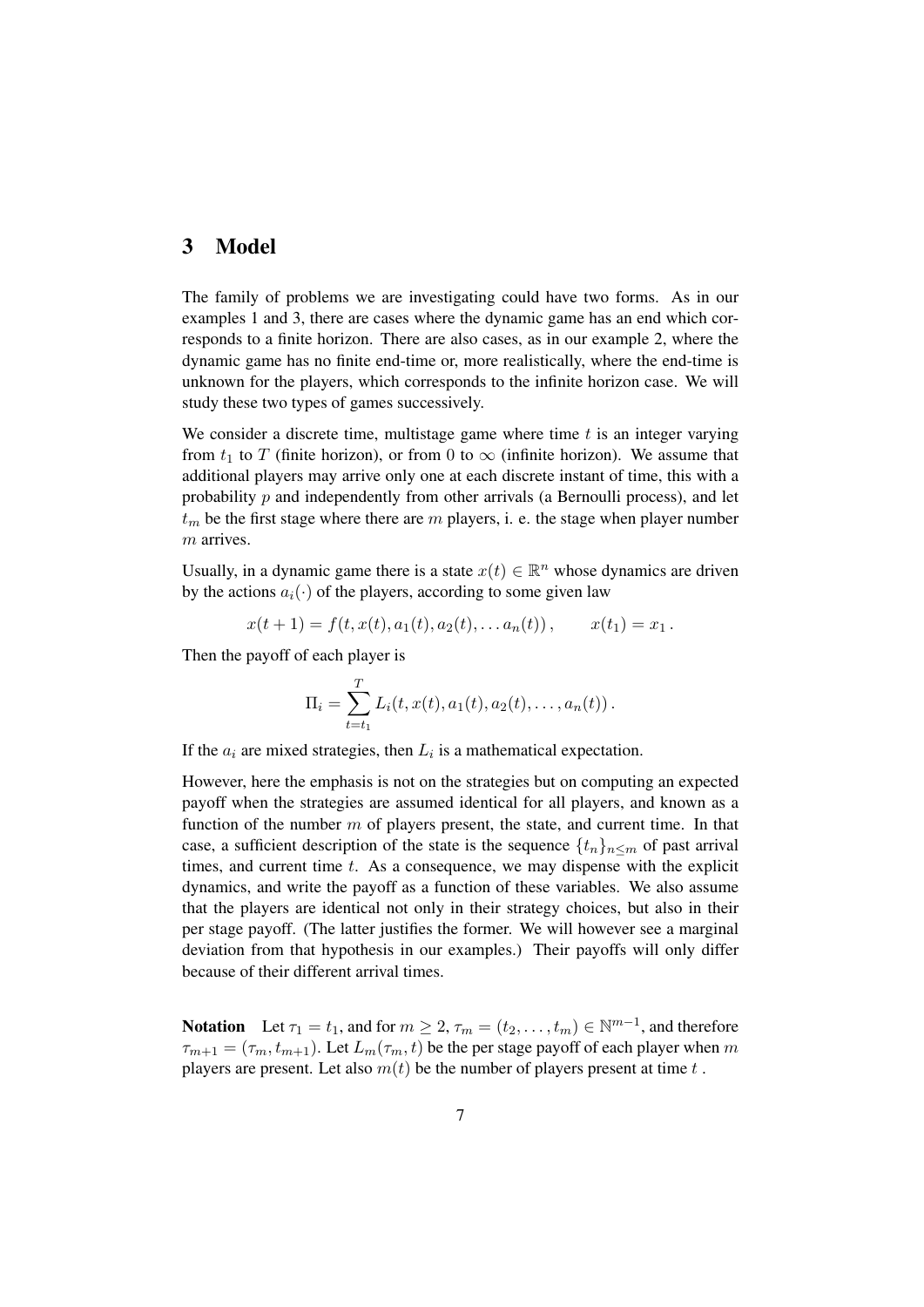## 3 Model

The family of problems we are investigating could have two forms. As in our examples 1 and 3, there are cases where the dynamic game has an end which corresponds to a finite horizon. There are also cases, as in our example 2, where the dynamic game has no finite end-time or, more realistically, where the end-time is unknown for the players, which corresponds to the infinite horizon case. We will study these two types of games successively.

We consider a discrete time, multistage game where time  $t$  is an integer varying from  $t_1$  to T (finite horizon), or from 0 to  $\infty$  (infinite horizon). We assume that additional players may arrive only one at each discrete instant of time, this with a probability  $p$  and independently from other arrivals (a Bernoulli process), and let  $t<sub>m</sub>$  be the first stage where there are m players, i. e. the stage when player number m arrives.

Usually, in a dynamic game there is a state  $x(t) \in \mathbb{R}^n$  whose dynamics are driven by the actions  $a_i(\cdot)$  of the players, according to some given law

$$
x(t+1) = f(t, x(t), a_1(t), a_2(t), \ldots a_n(t)), \qquad x(t_1) = x_1.
$$

Then the payoff of each player is

$$
\Pi_i = \sum_{t=t_1}^T L_i(t, x(t), a_1(t), a_2(t), \dots, a_n(t)).
$$

If the  $a_i$  are mixed strategies, then  $L_i$  is a mathematical expectation.

However, here the emphasis is not on the strategies but on computing an expected payoff when the strategies are assumed identical for all players, and known as a function of the number  $m$  of players present, the state, and current time. In that case, a sufficient description of the state is the sequence  $\{t_n\}_{n\leq m}$  of past arrival times, and current time  $t$ . As a consequence, we may dispense with the explicit dynamics, and write the payoff as a function of these variables. We also assume that the players are identical not only in their strategy choices, but also in their per stage payoff. (The latter justifies the former. We will however see a marginal deviation from that hypothesis in our examples.) Their payoffs will only differ because of their different arrival times.

**Notation** Let  $\tau_1 = t_1$ , and for  $m \geq 2$ ,  $\tau_m = (t_2, \dots, t_m) \in \mathbb{N}^{m-1}$ , and therefore  $\tau_{m+1} = (\tau_m, t_{m+1})$ . Let  $L_m(\tau_m, t)$  be the per stage payoff of each player when m players are present. Let also  $m(t)$  be the number of players present at time t.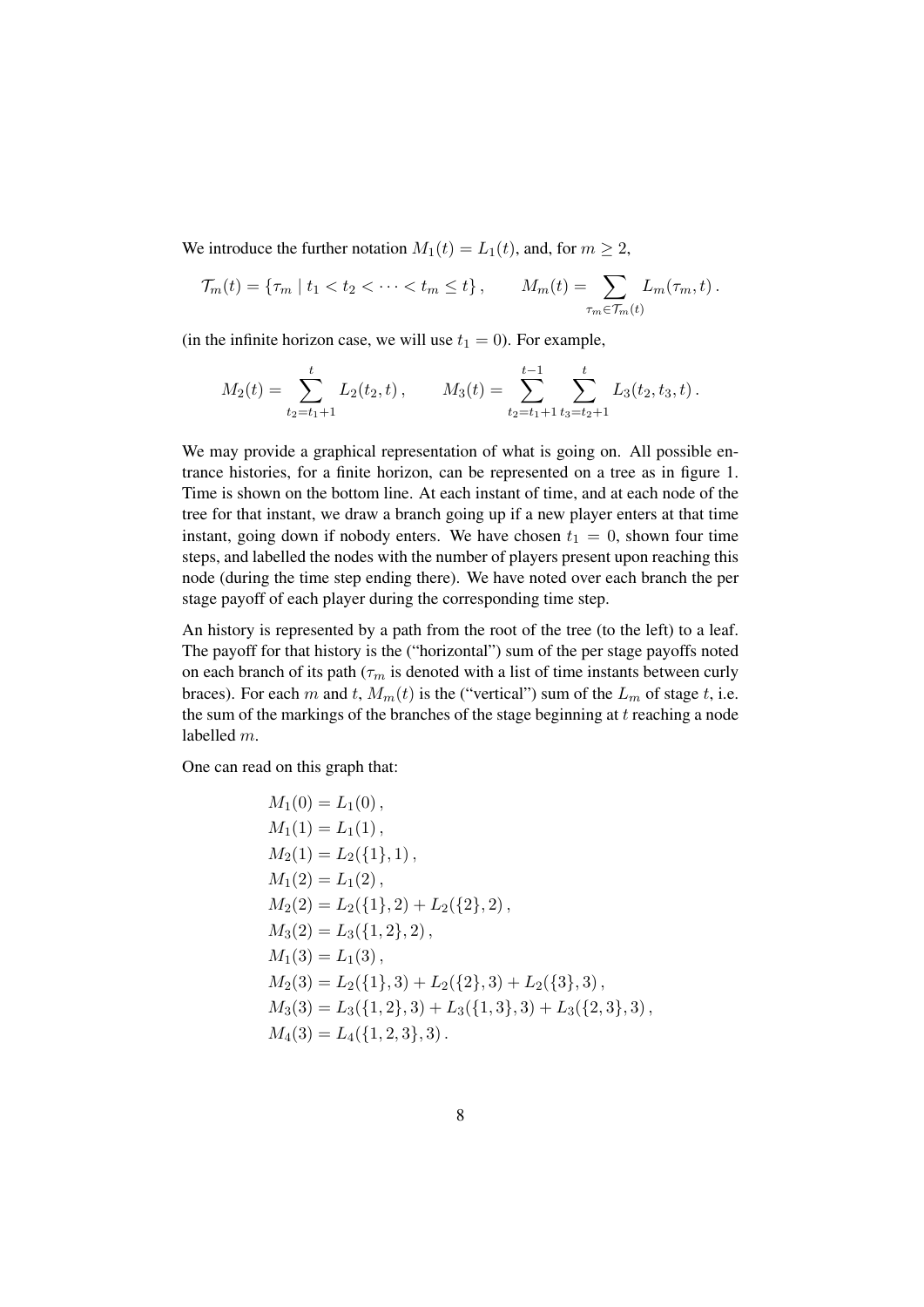We introduce the further notation  $M_1(t) = L_1(t)$ , and, for  $m \ge 2$ ,

$$
\mathcal{T}_m(t) = \{ \tau_m \mid t_1 < t_2 < \cdots < t_m \leq t \}, \qquad M_m(t) = \sum_{\tau_m \in \mathcal{T}_m(t)} L_m(\tau_m, t).
$$

(in the infinite horizon case, we will use  $t_1 = 0$ ). For example,

$$
M_2(t) = \sum_{t_2=t_1+1}^t L_2(t_2, t), \qquad M_3(t) = \sum_{t_2=t_1+1}^{t-1} \sum_{t_3=t_2+1}^t L_3(t_2, t_3, t).
$$

We may provide a graphical representation of what is going on. All possible entrance histories, for a finite horizon, can be represented on a tree as in figure 1. Time is shown on the bottom line. At each instant of time, and at each node of the tree for that instant, we draw a branch going up if a new player enters at that time instant, going down if nobody enters. We have chosen  $t_1 = 0$ , shown four time steps, and labelled the nodes with the number of players present upon reaching this node (during the time step ending there). We have noted over each branch the per stage payoff of each player during the corresponding time step.

An history is represented by a path from the root of the tree (to the left) to a leaf. The payoff for that history is the ("horizontal") sum of the per stage payoffs noted on each branch of its path ( $\tau_m$  is denoted with a list of time instants between curly braces). For each m and t,  $M_m(t)$  is the ("vertical") sum of the  $L_m$  of stage t, i.e. the sum of the markings of the branches of the stage beginning at  $t$  reaching a node labelled m.

One can read on this graph that:

$$
M_1(0) = L_1(0),
$$
  
\n
$$
M_1(1) = L_1(1),
$$
  
\n
$$
M_2(1) = L_2(\{1\}, 1),
$$
  
\n
$$
M_1(2) = L_1(2),
$$
  
\n
$$
M_2(2) = L_2(\{1\}, 2) + L_2(\{2\}, 2),
$$
  
\n
$$
M_3(2) = L_3(\{1, 2\}, 2),
$$
  
\n
$$
M_1(3) = L_1(3),
$$
  
\n
$$
M_2(3) = L_2(\{1\}, 3) + L_2(\{2\}, 3) + L_2(\{3\}, 3),
$$
  
\n
$$
M_3(3) = L_3(\{1, 2\}, 3) + L_3(\{1, 3\}, 3) + L_3(\{2, 3\}, 3),
$$
  
\n
$$
M_4(3) = L_4(\{1, 2, 3\}, 3).
$$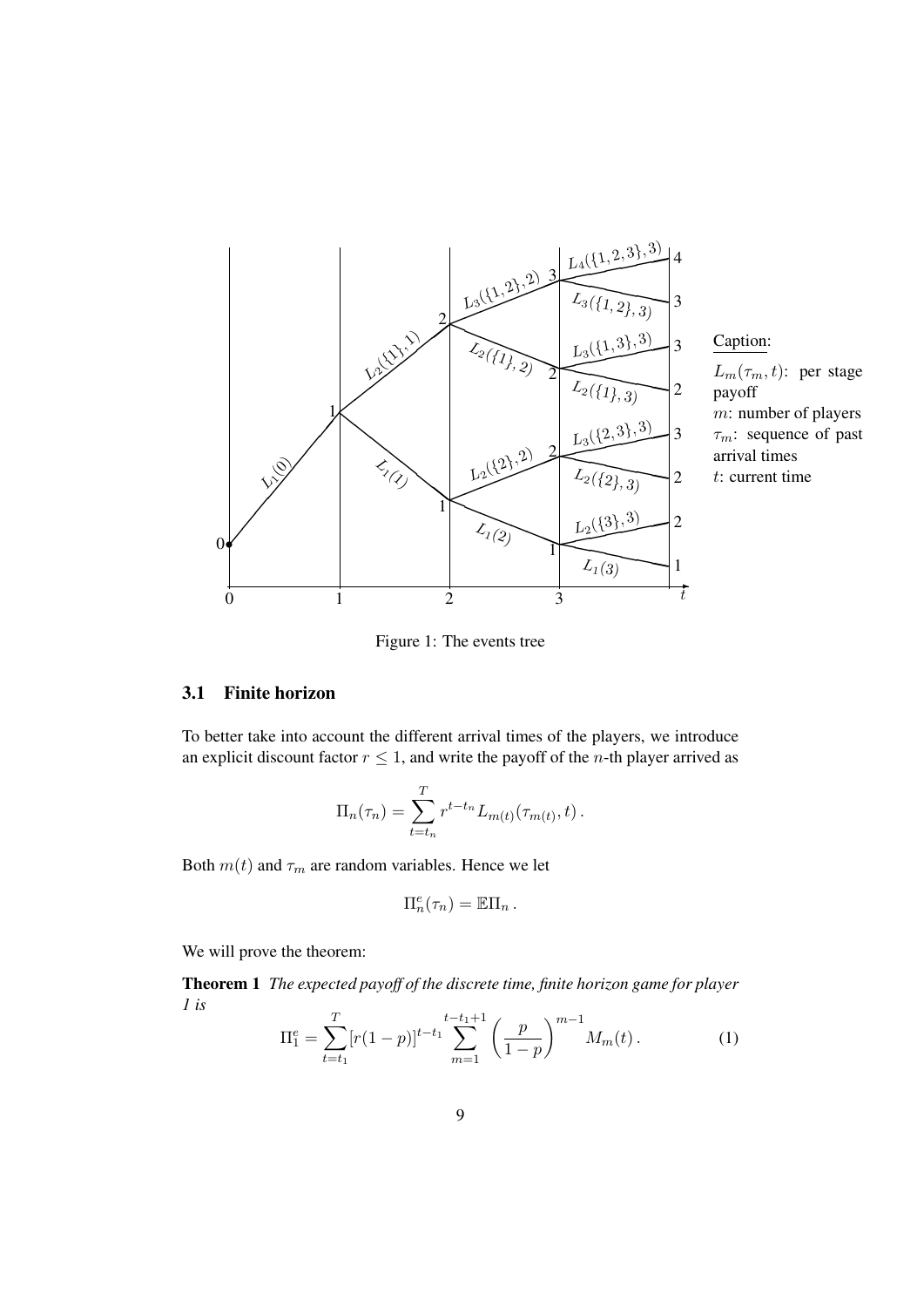

Caption:  $L_m(\tau_m, t)$ : per stage

payoff m: number of players  $\tau_m$ : sequence of past arrival times t: current time

Figure 1: The events tree

## 3.1 Finite horizon

To better take into account the different arrival times of the players, we introduce an explicit discount factor  $r \leq 1$ , and write the payoff of the *n*-th player arrived as

$$
\Pi_n(\tau_n) = \sum_{t=t_n}^T r^{t-t_n} L_{m(t)}(\tau_{m(t)}, t).
$$

Both  $m(t)$  and  $\tau_m$  are random variables. Hence we let

$$
\Pi_n^e(\tau_n)=\mathbb{E}\Pi_n.
$$

We will prove the theorem:

Theorem 1 *The expected payoff of the discrete time, finite horizon game for player 1 is*

$$
\Pi_1^e = \sum_{t=t_1}^T [r(1-p)]^{t-t_1} \sum_{m=1}^{t-t_1+1} \left(\frac{p}{1-p}\right)^{m-1} M_m(t).
$$
 (1)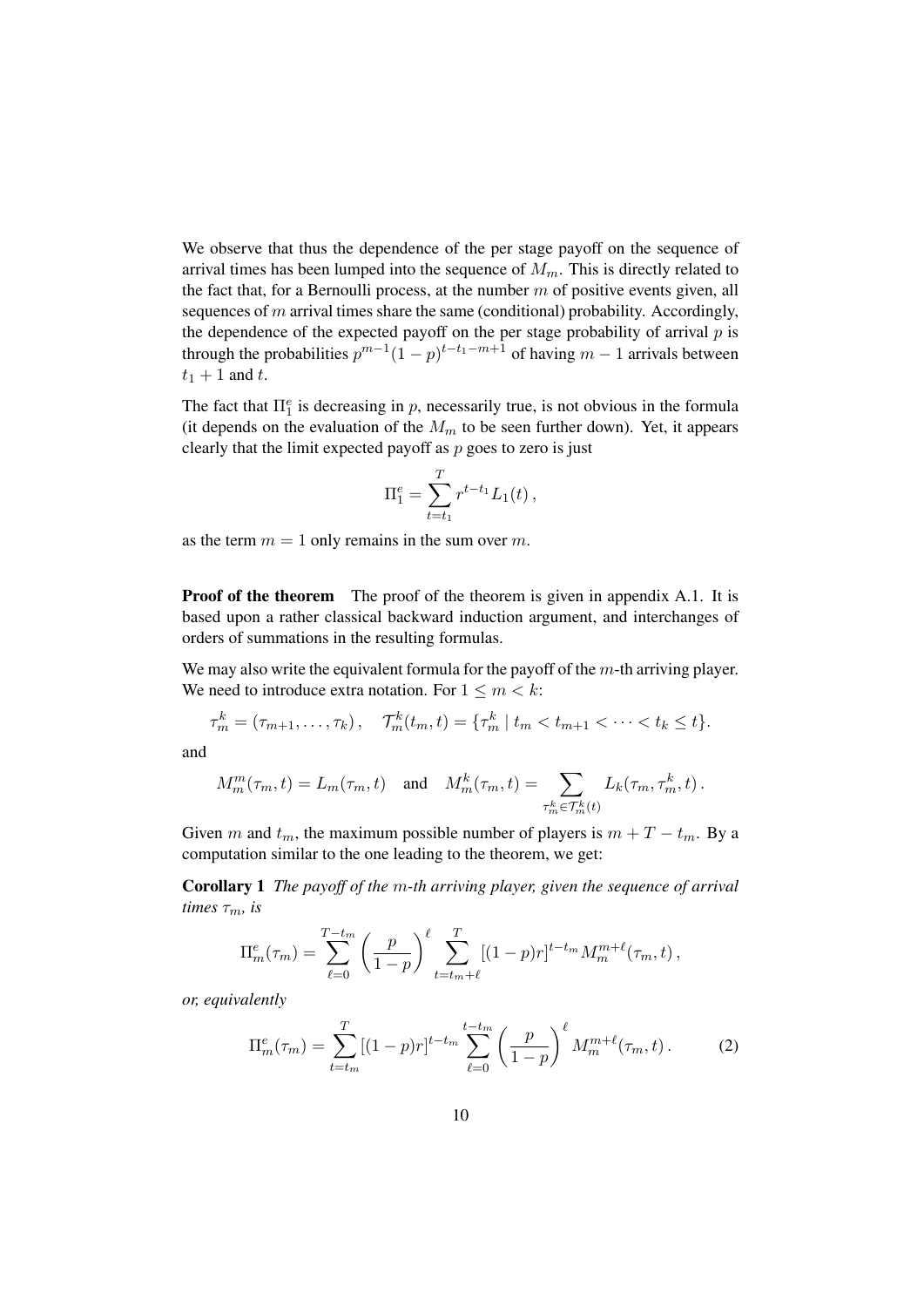We observe that thus the dependence of the per stage payoff on the sequence of arrival times has been lumped into the sequence of  $M_m$ . This is directly related to the fact that, for a Bernoulli process, at the number  $m$  of positive events given, all sequences of  $m$  arrival times share the same (conditional) probability. Accordingly, the dependence of the expected payoff on the per stage probability of arrival  $p$  is through the probabilities  $p^{m-1}(1-p)^{t-t_1-m+1}$  of having  $m-1$  arrivals between  $t_1 + 1$  and t.

The fact that  $\Pi_1^e$  is decreasing in p, necessarily true, is not obvious in the formula (it depends on the evaluation of the  $M_m$  to be seen further down). Yet, it appears clearly that the limit expected payoff as  $p$  goes to zero is just

$$
\Pi_1^e = \sum_{t=t_1}^T r^{t-t_1} L_1(t) \,,
$$

as the term  $m = 1$  only remains in the sum over m.

**Proof of the theorem** The proof of the theorem is given in appendix A.1. It is based upon a rather classical backward induction argument, and interchanges of orders of summations in the resulting formulas.

We may also write the equivalent formula for the payoff of the m-th arriving player. We need to introduce extra notation. For  $1 \le m \le k$ :

$$
\tau_m^k = (\tau_{m+1}, \dots, \tau_k), \quad \mathcal{T}_m^k(t_m, t) = \{ \tau_m^k \mid t_m < t_{m+1} < \dots < t_k \leq t \}.
$$

and

$$
M_m^m(\tau_m, t) = L_m(\tau_m, t) \quad \text{and} \quad M_m^k(\tau_m, t) = \sum_{\tau_m^k \in \mathcal{T}_m^k(t)} L_k(\tau_m, \tau_m^k, t) .
$$

Given m and  $t_m$ , the maximum possible number of players is  $m + T - t_m$ . By a computation similar to the one leading to the theorem, we get:

Corollary 1 *The payoff of the* m*-th arriving player, given the sequence of arrival times*  $\tau_m$ *, is* 

$$
\Pi_m^e(\tau_m) = \sum_{\ell=0}^{T-t_m} \left(\frac{p}{1-p}\right)^{\ell} \sum_{t=t_m+\ell}^{T} [(1-p)r]^{t-t_m} M_m^{m+\ell}(\tau_m, t) ,
$$

*or, equivalently*

$$
\Pi_m^e(\tau_m) = \sum_{t=t_m}^T [(1-p)r]^{t-t_m} \sum_{\ell=0}^{t-t_m} \left(\frac{p}{1-p}\right)^{\ell} M_m^{m+\ell}(\tau_m, t).
$$
 (2)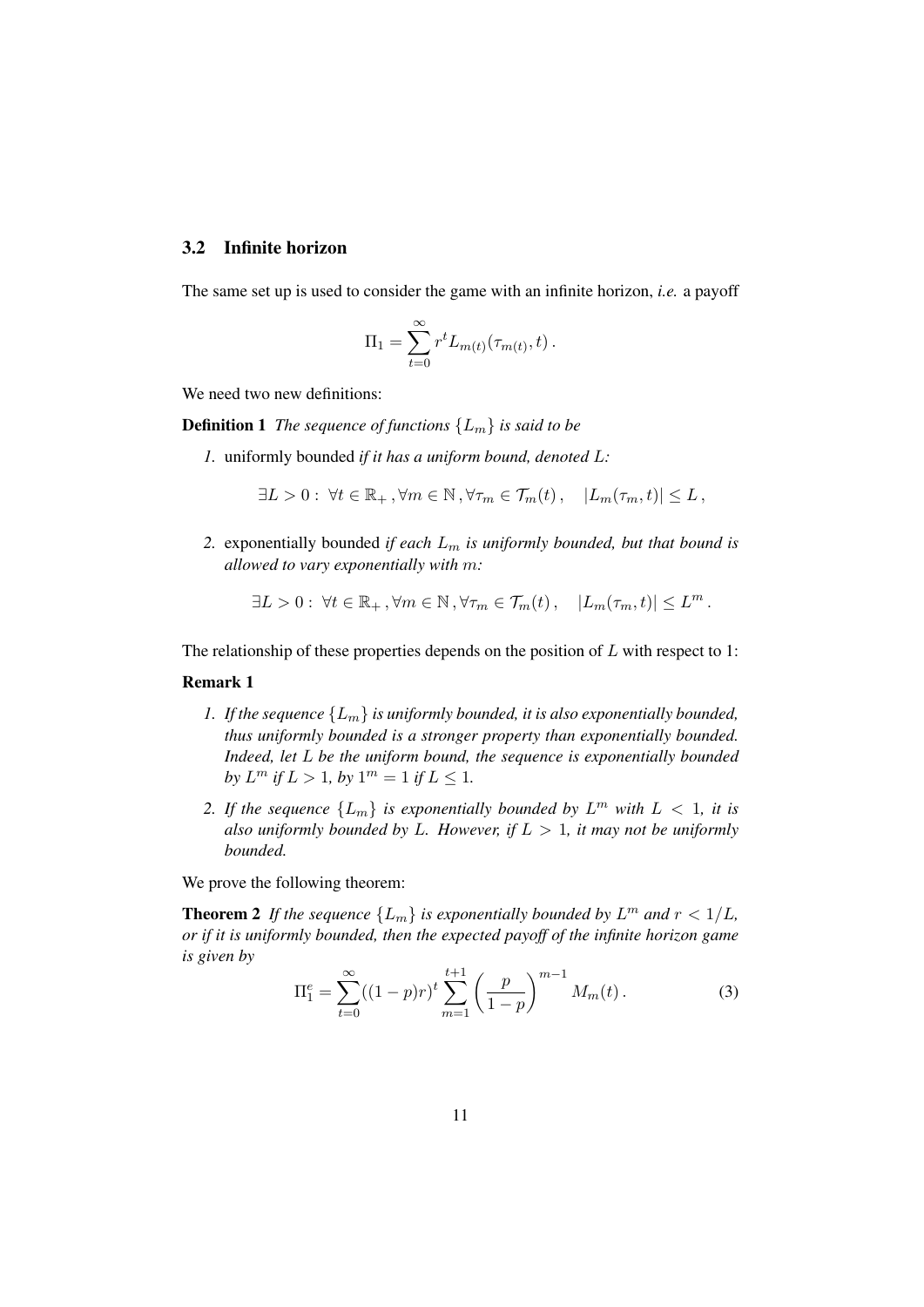#### 3.2 Infinite horizon

The same set up is used to consider the game with an infinite horizon, *i.e.* a payoff

$$
\Pi_1 = \sum_{t=0}^{\infty} r^t L_{m(t)}(\tau_{m(t)}, t).
$$

We need two new definitions:

**Definition 1** *The sequence of functions*  $\{L_m\}$  *is said to be* 

*1.* uniformly bounded *if it has a uniform bound, denoted* L*:*

$$
\exists L > 0: \forall t \in \mathbb{R}_+, \forall m \in \mathbb{N}, \forall \tau_m \in \mathcal{T}_m(t), \quad |L_m(\tau_m, t)| \leq L,
$$

2. exponentially bounded *if each*  $L_m$  *is uniformly bounded, but that bound is allowed to vary exponentially with* m*:*

$$
\exists L > 0: \ \forall t \in \mathbb{R}_+, \forall m \in \mathbb{N}, \forall \tau_m \in \mathcal{T}_m(t), \quad |L_m(\tau_m, t)| \leq L^m.
$$

The relationship of these properties depends on the position of  $L$  with respect to 1:

#### Remark 1

- *1. If the sequence*  ${L_m}$  *is uniformly bounded, it is also exponentially bounded, thus uniformly bounded is a stronger property than exponentially bounded. Indeed, let* L *be the uniform bound, the sequence is exponentially bounded by*  $L^m$  *if*  $L > 1$ *, by*  $1^m = 1$  *if*  $L \le 1$ *.*
- 2. If the sequence  $\{L_m\}$  is exponentially bounded by  $L^m$  with  $L < 1$ , it is *also uniformly bounded by L. However, if*  $L > 1$ *, it may not be uniformly bounded.*

We prove the following theorem:

**Theorem 2** If the sequence  $\{L_m\}$  is exponentially bounded by  $L^m$  and  $r < 1/L$ , *or if it is uniformly bounded, then the expected payoff of the infinite horizon game is given by*

$$
\Pi_1^e = \sum_{t=0}^{\infty} ((1-p)r)^t \sum_{m=1}^{t+1} \left(\frac{p}{1-p}\right)^{m-1} M_m(t).
$$
 (3)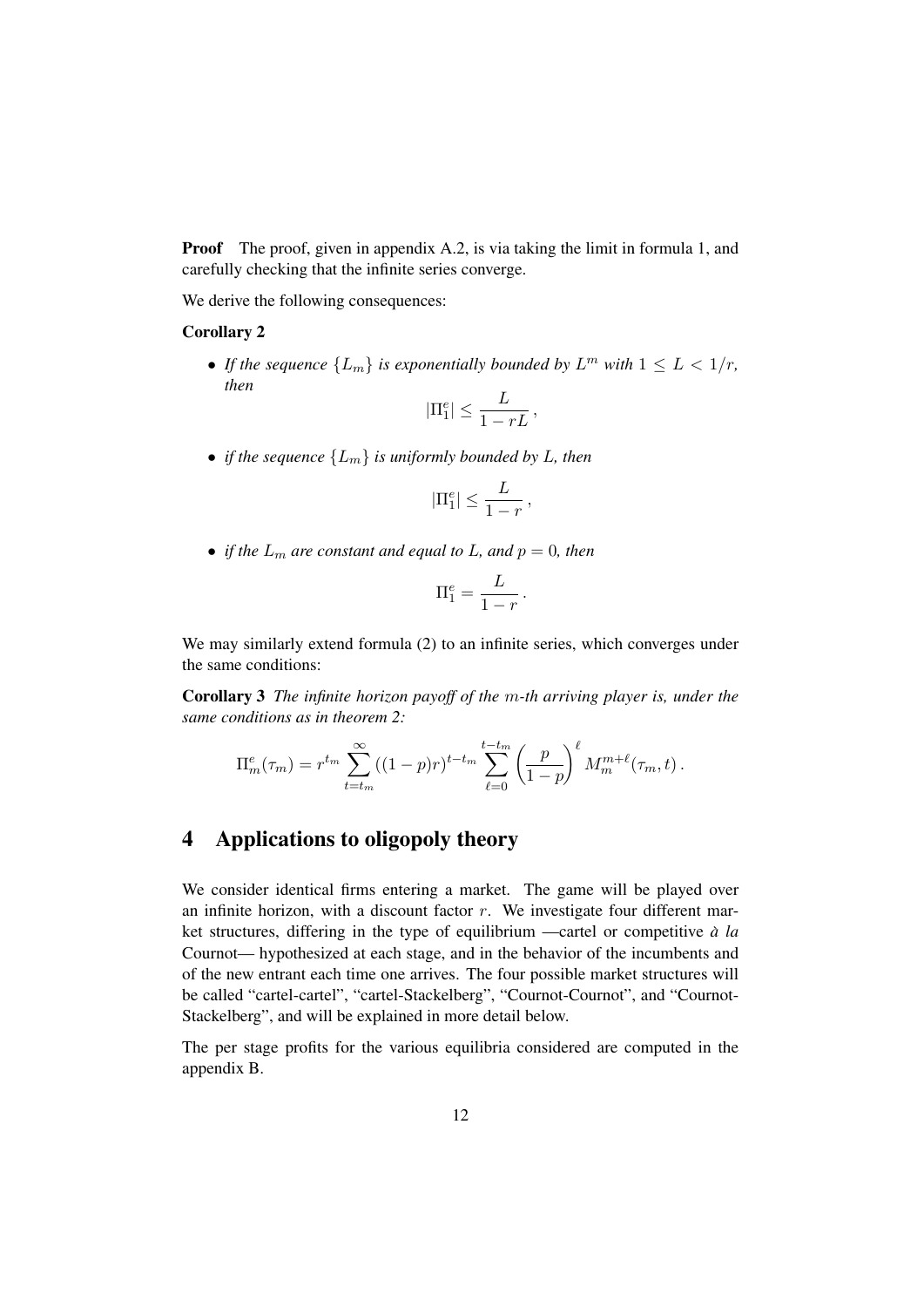**Proof** The proof, given in appendix A.2, is via taking the limit in formula 1, and carefully checking that the infinite series converge.

We derive the following consequences:

#### Corollary 2

• If the sequence  $\{L_m\}$  is exponentially bounded by  $L^m$  with  $1 \leq L < 1/r$ , *then*

$$
|\Pi_1^e| \leq \frac{L}{1 - rL},
$$

• *if the sequence*  ${L_m}$  *is uniformly bounded by L, then* 

$$
|\Pi_1^e| \leq \frac{L}{1-r},
$$

• *if the*  $L_m$  *are constant and equal to*  $L$ *, and*  $p = 0$ *, then* 

$$
\Pi_1^e = \frac{L}{1-r} \, .
$$

We may similarly extend formula (2) to an infinite series, which converges under the same conditions:

Corollary 3 *The infinite horizon payoff of the* m*-th arriving player is, under the same conditions as in theorem 2:*

$$
\Pi_m^e(\tau_m) = r^{t_m} \sum_{t=t_m}^{\infty} ((1-p)r)^{t-t_m} \sum_{\ell=0}^{t-t_m} \left(\frac{p}{1-p}\right)^{\ell} M_m^{m+\ell}(\tau_m, t).
$$

## 4 Applications to oligopoly theory

We consider identical firms entering a market. The game will be played over an infinite horizon, with a discount factor  $r$ . We investigate four different market structures, differing in the type of equilibrium —cartel or competitive  $\dot{a}$  *la* Cournot— hypothesized at each stage, and in the behavior of the incumbents and of the new entrant each time one arrives. The four possible market structures will be called "cartel-cartel", "cartel-Stackelberg", "Cournot-Cournot", and "Cournot-Stackelberg", and will be explained in more detail below.

The per stage profits for the various equilibria considered are computed in the appendix B.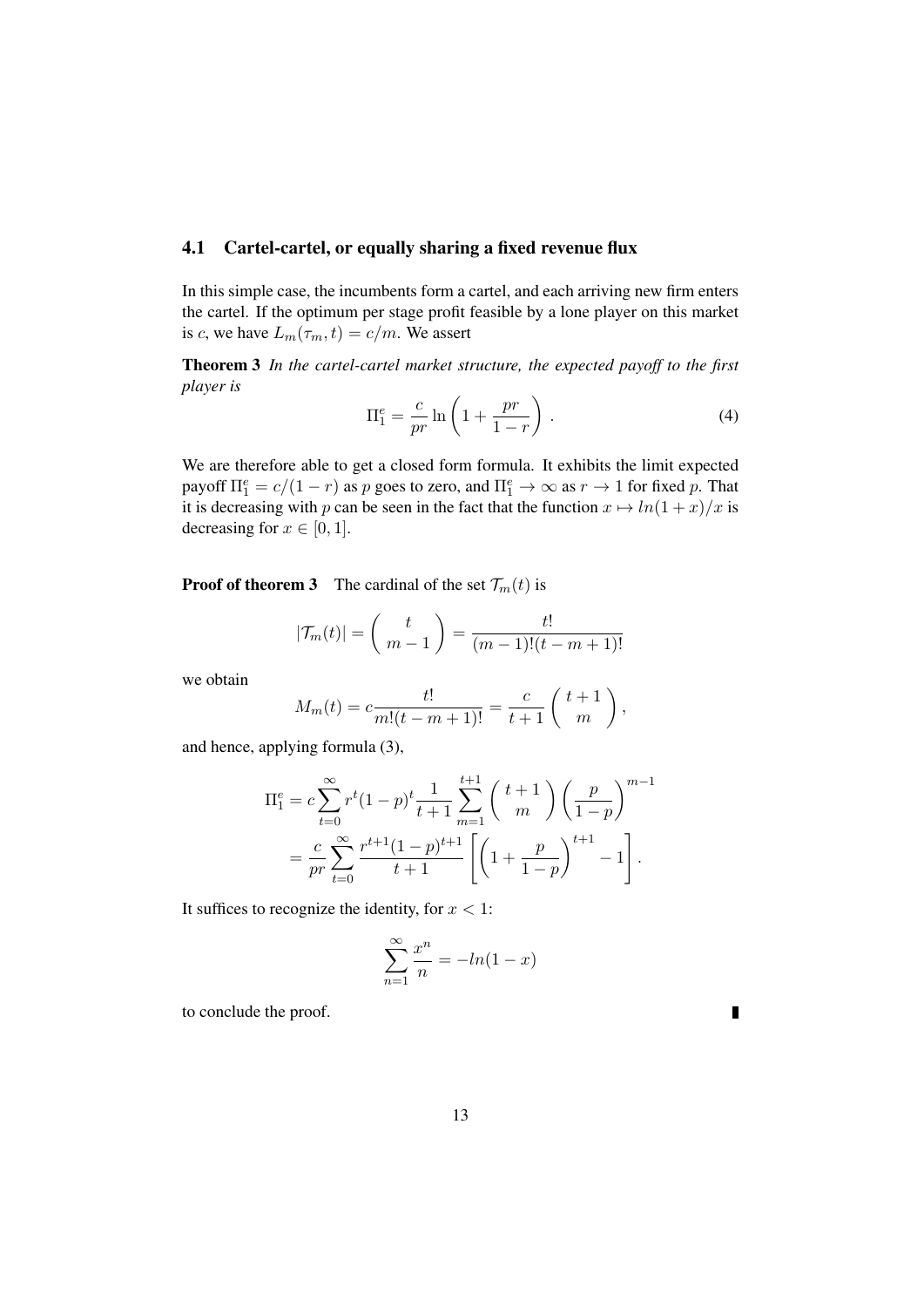#### 4.1 Cartel-cartel, or equally sharing a fixed revenue flux

In this simple case, the incumbents form a cartel, and each arriving new firm enters the cartel. If the optimum per stage profit feasible by a lone player on this market is c, we have  $L_m(\tau_m, t) = c/m$ . We assert

Theorem 3 *In the cartel-cartel market structure, the expected payoff to the first player is*

$$
\Pi_1^e = \frac{c}{pr} \ln \left( 1 + \frac{pr}{1-r} \right) . \tag{4}
$$

We are therefore able to get a closed form formula. It exhibits the limit expected payoff  $\Pi_1^e = c/(1-r)$  as p goes to zero, and  $\Pi_1^e \to \infty$  as  $r \to 1$  for fixed p. That it is decreasing with p can be seen in the fact that the function  $x \mapsto ln(1 + x)/x$  is decreasing for  $x \in [0, 1]$ .

**Proof of theorem 3** The cardinal of the set  $\mathcal{T}_m(t)$  is

$$
|\mathcal{T}_m(t)| = {t \choose m-1} = \frac{t!}{(m-1)!(t-m+1)!}
$$

we obtain

$$
M_m(t) = c \frac{t!}{m!(t-m+1)!} = \frac{c}{t+1} \binom{t+1}{m},
$$

and hence, applying formula (3),

$$
\Pi_1^e = c \sum_{t=0}^{\infty} r^t (1-p)^t \frac{1}{t+1} \sum_{m=1}^{t+1} \binom{t+1}{m} \left(\frac{p}{1-p}\right)^{m-1}
$$

$$
= \frac{c}{pr} \sum_{t=0}^{\infty} \frac{r^{t+1} (1-p)^{t+1}}{t+1} \left[ \left(1 + \frac{p}{1-p}\right)^{t+1} - 1 \right].
$$

It suffices to recognize the identity, for  $x < 1$ :

$$
\sum_{n=1}^{\infty} \frac{x^n}{n} = -\ln(1-x)
$$

 $\blacksquare$ 

to conclude the proof.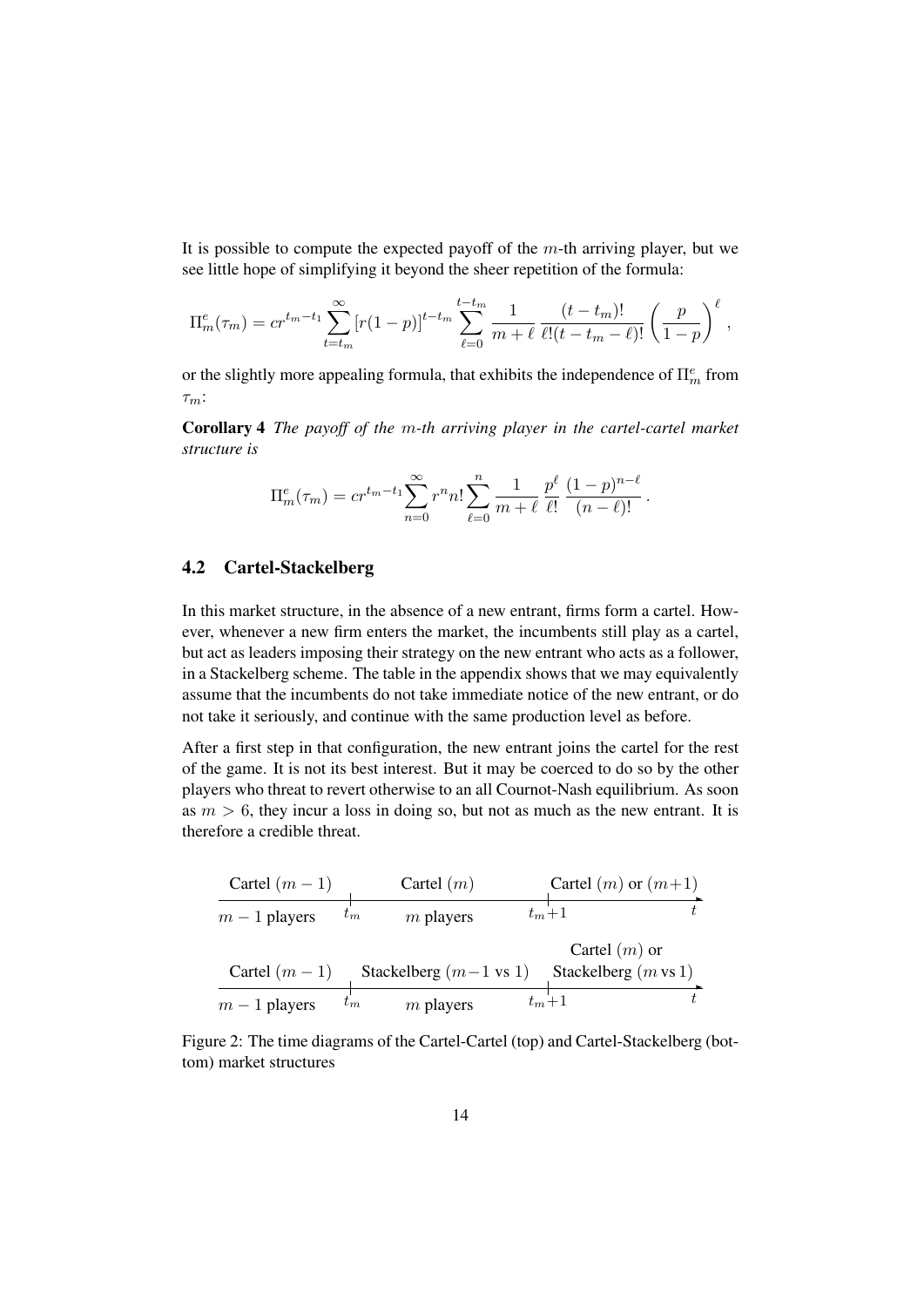It is possible to compute the expected payoff of the  $m$ -th arriving player, but we see little hope of simplifying it beyond the sheer repetition of the formula:

$$
\Pi_m^e(\tau_m) = c r^{t_m - t_1} \sum_{t=t_m}^{\infty} [r(1-p)]^{t-t_m} \sum_{\ell=0}^{t-t_m} \frac{1}{m+\ell} \frac{(t-t_m)!}{\ell!(t-t_m-\ell)!} \left(\frac{p}{1-p}\right)^{\ell},
$$

or the slightly more appealing formula, that exhibits the independence of  $\Pi_m^e$  from  $\tau_m$ :

Corollary 4 *The payoff of the* m*-th arriving player in the cartel-cartel market structure is*

$$
\Pi_m^e(\tau_m) = c r^{t_m - t_1} \sum_{n=0}^{\infty} r^n n! \sum_{\ell=0}^n \frac{1}{m+\ell} \frac{p^{\ell}}{\ell!} \frac{(1-p)^{n-\ell}}{(n-\ell)!}.
$$

#### 4.2 Cartel-Stackelberg

In this market structure, in the absence of a new entrant, firms form a cartel. However, whenever a new firm enters the market, the incumbents still play as a cartel, but act as leaders imposing their strategy on the new entrant who acts as a follower, in a Stackelberg scheme. The table in the appendix shows that we may equivalently assume that the incumbents do not take immediate notice of the new entrant, or do not take it seriously, and continue with the same production level as before.

After a first step in that configuration, the new entrant joins the cartel for the rest of the game. It is not its best interest. But it may be coerced to do so by the other players who threat to revert otherwise to an all Cournot-Nash equilibrium. As soon as  $m > 6$ , they incur a loss in doing so, but not as much as the new entrant. It is therefore a credible threat.

| Cartel $(m - 1)$ | Cartel $(m)$                        | Cartel $(m)$ or $(m+1)$         |           |     |
|------------------|-------------------------------------|---------------------------------|-----------|-----|
| $m - 1$ players  | $t_m$                               | $m$ players                     | $t_m + 1$ | $t$ |
| Cartel $(m - 1)$ | Stackelberg $(m - 1 \text{ vs } 1)$ | Stackelberg $(m \text{ vs } 1)$ |           |     |
| $m - 1$ players  | $t_m$                               | $m$ players                     | $t_m + 1$ | $t$ |

Figure 2: The time diagrams of the Cartel-Cartel (top) and Cartel-Stackelberg (bottom) market structures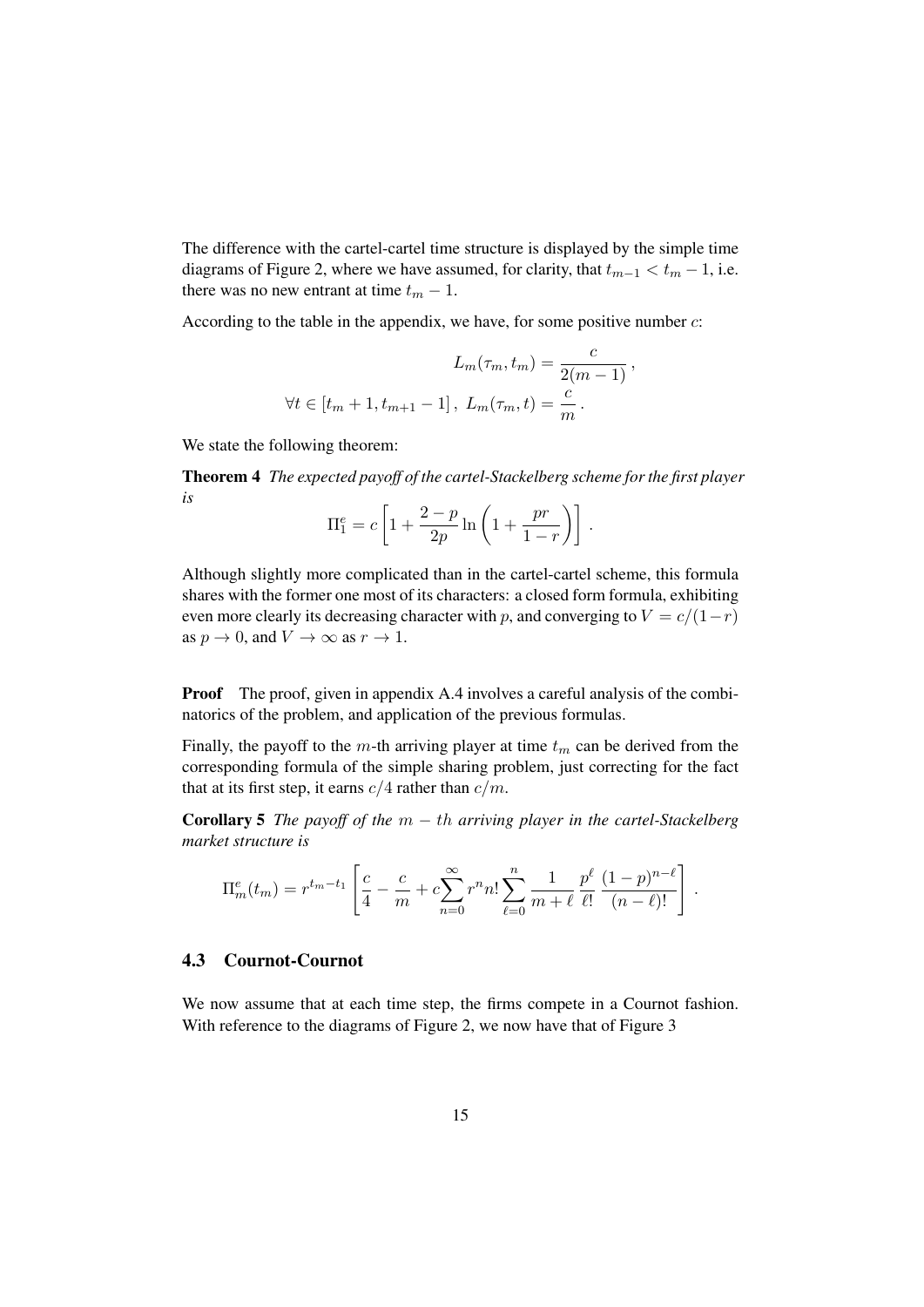The difference with the cartel-cartel time structure is displayed by the simple time diagrams of Figure 2, where we have assumed, for clarity, that  $t_{m-1} < t_m - 1$ , i.e. there was no new entrant at time  $t_m - 1$ .

According to the table in the appendix, we have, for some positive number  $c$ :

$$
L_m(\tau_m, t_m) = \frac{c}{2(m-1)},
$$
  

$$
\forall t \in [t_m + 1, t_{m+1} - 1], L_m(\tau_m, t) = \frac{c}{m}.
$$

We state the following theorem:

Theorem 4 *The expected payoff of the cartel-Stackelberg scheme for the first player is*

$$
\Pi_1^e = c \left[ 1 + \frac{2-p}{2p} \ln \left( 1 + \frac{pr}{1-r} \right) \right] .
$$

Although slightly more complicated than in the cartel-cartel scheme, this formula shares with the former one most of its characters: a closed form formula, exhibiting even more clearly its decreasing character with p, and converging to  $V = c/(1-r)$ as  $p \to 0$ , and  $V \to \infty$  as  $r \to 1$ .

**Proof** The proof, given in appendix A.4 involves a careful analysis of the combinatorics of the problem, and application of the previous formulas.

Finally, the payoff to the m-th arriving player at time  $t_m$  can be derived from the corresponding formula of the simple sharing problem, just correcting for the fact that at its first step, it earns  $c/4$  rather than  $c/m$ .

Corollary 5 *The payoff of the* m − th *arriving player in the cartel-Stackelberg market structure is*

$$
\Pi_m^e(t_m) = r^{t_m - t_1} \left[ \frac{c}{4} - \frac{c}{m} + c \sum_{n=0}^{\infty} r^n n! \sum_{\ell=0}^n \frac{1}{m + \ell} \frac{p^{\ell}}{\ell!} \frac{(1-p)^{n-\ell}}{(n-\ell)!} \right].
$$

#### 4.3 Cournot-Cournot

We now assume that at each time step, the firms compete in a Cournot fashion. With reference to the diagrams of Figure 2, we now have that of Figure 3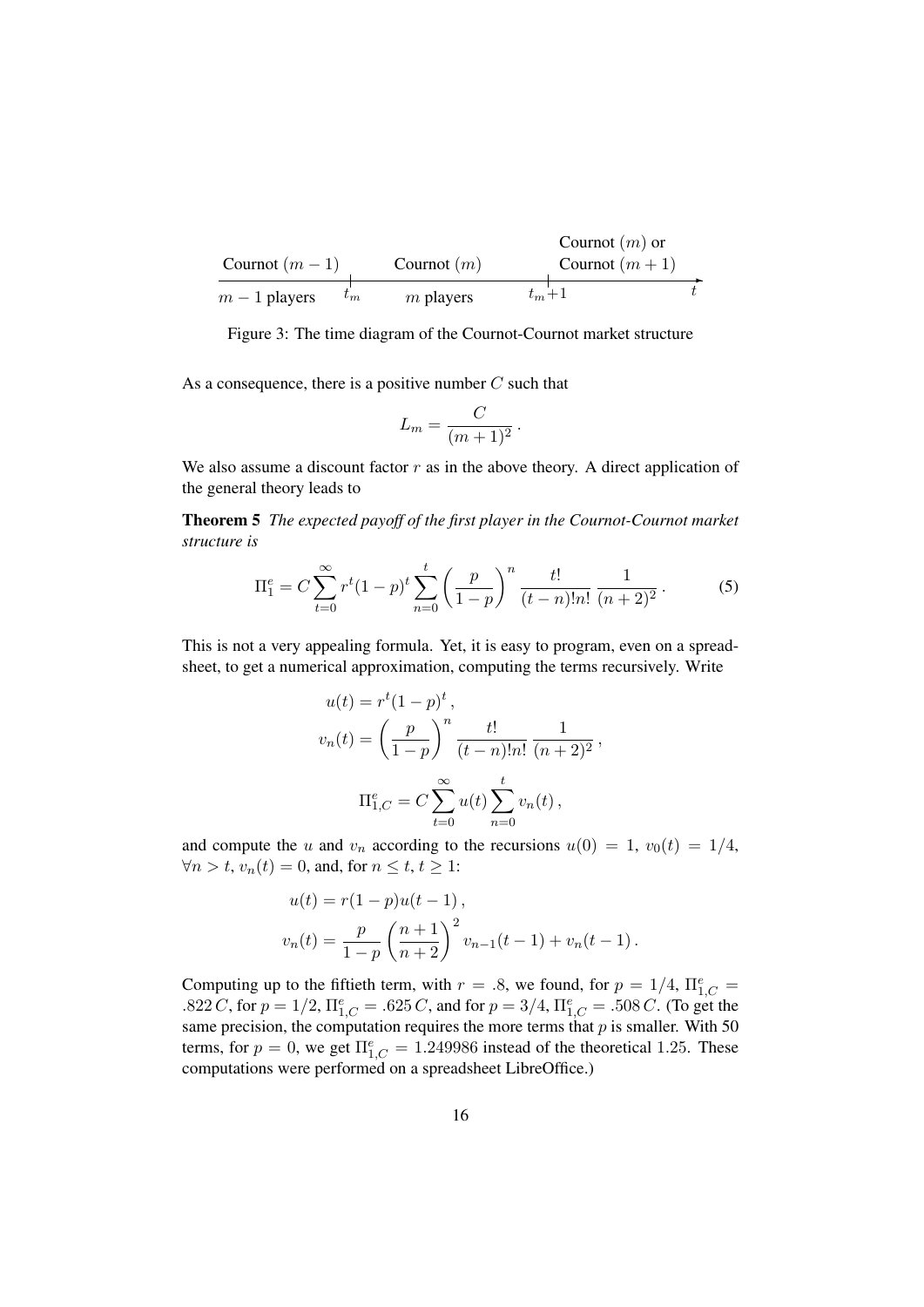|                 |                          |                 | Cournot $(m)$ or |  |
|-----------------|--------------------------|-----------------|------------------|--|
| Cournot $(m-1)$ | Cournot $(m)$            | Cournot $(m+1)$ |                  |  |
| $m-1$ players   | $m$ players<br>$\iota_m$ | $t_m+1$         |                  |  |

Figure 3: The time diagram of the Cournot-Cournot market structure

As a consequence, there is a positive number  $C$  such that

$$
L_m = \frac{C}{(m+1)^2}.
$$

We also assume a discount factor  $r$  as in the above theory. A direct application of the general theory leads to

Theorem 5 *The expected payoff of the first player in the Cournot-Cournot market structure is*

$$
\Pi_1^e = C \sum_{t=0}^{\infty} r^t (1-p)^t \sum_{n=0}^t \left(\frac{p}{1-p}\right)^n \frac{t!}{(t-n)!n!} \frac{1}{(n+2)^2}.
$$
 (5)

,

This is not a very appealing formula. Yet, it is easy to program, even on a spreadsheet, to get a numerical approximation, computing the terms recursively. Write

$$
u(t) = r^{t} (1 - p)^{t},
$$
  
\n
$$
v_{n}(t) = \left(\frac{p}{1 - p}\right)^{n} \frac{t!}{(t - n)!n!} \frac{1}{(n + 2)^{2}}
$$
  
\n
$$
\Pi_{1,C}^{e} = C \sum_{t=0}^{\infty} u(t) \sum_{n=0}^{t} v_{n}(t),
$$

and compute the u and  $v_n$  according to the recursions  $u(0) = 1$ ,  $v_0(t) = 1/4$ ,  $\forall n > t$ ,  $v_n(t) = 0$ , and, for  $n \le t$ ,  $t \ge 1$ :

$$
u(t) = r(1-p)u(t-1),
$$
  

$$
v_n(t) = \frac{p}{1-p} \left(\frac{n+1}{n+2}\right)^2 v_{n-1}(t-1) + v_n(t-1).
$$

Computing up to the fiftieth term, with  $r = .8$ , we found, for  $p = 1/4$ ,  $\Pi_{1,C}^e =$ .822 C, for  $p = 1/2$ ,  $\Pi_{1,C}^e = .625 C$ , and for  $p = 3/4$ ,  $\Pi_{1,C}^e = .508 C$ . (To get the same precision, the computation requires the more terms that  $p$  is smaller. With 50 terms, for  $p = 0$ , we get  $\Pi_{1,C}^e = 1.249986$  instead of the theoretical 1.25. These computations were performed on a spreadsheet LibreOffice.)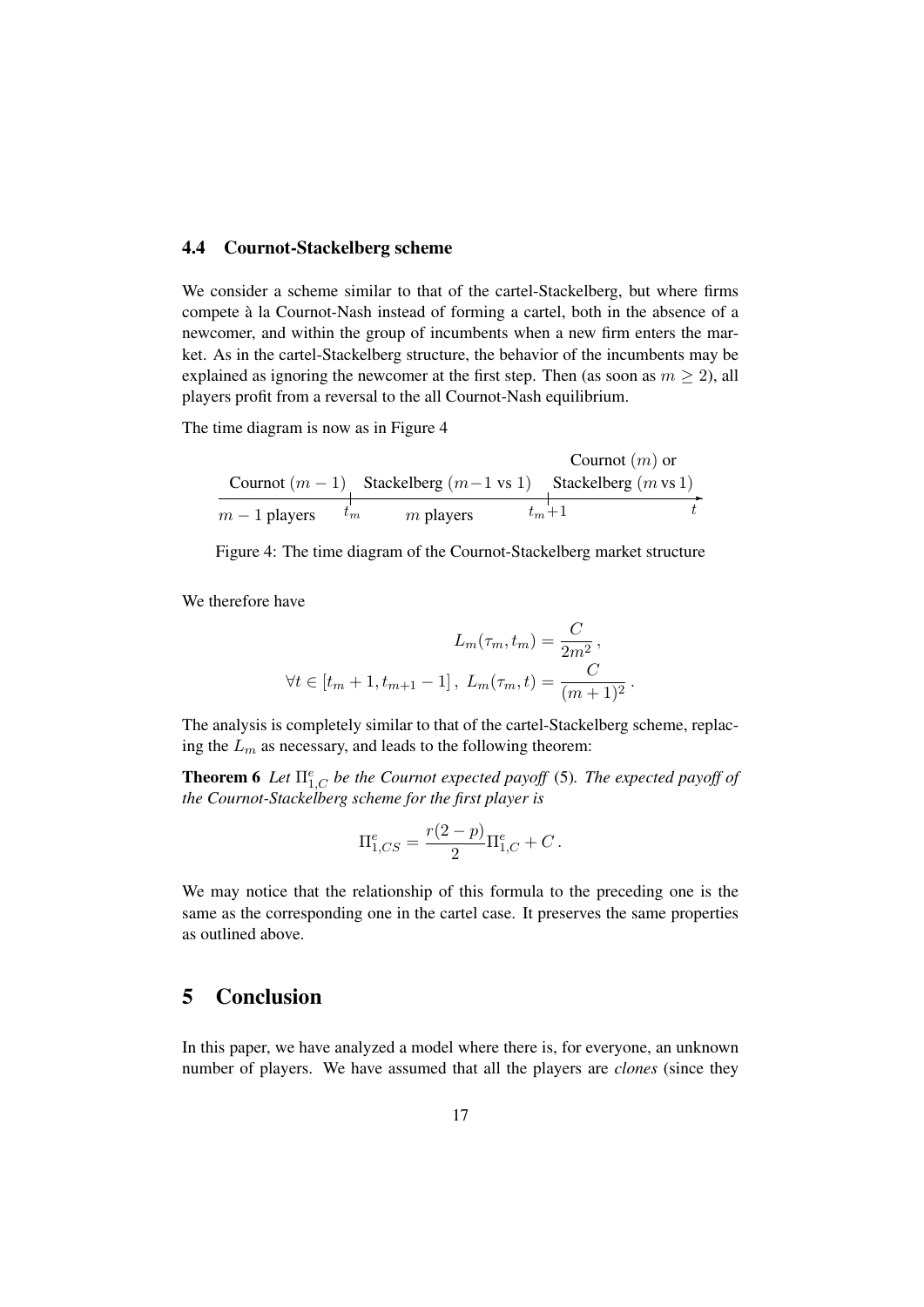#### 4.4 Cournot-Stackelberg scheme

We consider a scheme similar to that of the cartel-Stackelberg, but where firms compete à la Cournot-Nash instead of forming a cartel, both in the absence of a newcomer, and within the group of incumbents when a new firm enters the market. As in the cartel-Stackelberg structure, the behavior of the incumbents may be explained as ignoring the newcomer at the first step. Then (as soon as  $m > 2$ ), all players profit from a reversal to the all Cournot-Nash equilibrium.

The time diagram is now as in Figure 4

✲ <sup>m</sup> <sup>t</sup> <sup>−</sup> <sup>1</sup> players <sup>t</sup><sup>m</sup> <sup>m</sup> players <sup>t</sup>m+1 Cournot (m − 1) Stackelberg (m−1 vs 1) Cournot (m) or Stackelberg (m vs 1)

Figure 4: The time diagram of the Cournot-Stackelberg market structure

We therefore have

$$
L_m(\tau_m, t_m) = \frac{C}{2m^2},
$$
  
\n
$$
\forall t \in [t_m + 1, t_{m+1} - 1], \ L_m(\tau_m, t) = \frac{C}{(m+1)^2}.
$$

The analysis is completely similar to that of the cartel-Stackelberg scheme, replacing the  $L_m$  as necessary, and leads to the following theorem:

**Theorem 6** Let  $\Pi_{1,C}^{e}$  be the Cournot expected payoff (5). The expected payoff of *the Cournot-Stackelberg scheme for the first player is*

$$
\Pi_{1,CS}^e = \frac{r(2-p)}{2} \Pi_{1,C}^e + C \, .
$$

We may notice that the relationship of this formula to the preceding one is the same as the corresponding one in the cartel case. It preserves the same properties as outlined above.

## 5 Conclusion

In this paper, we have analyzed a model where there is, for everyone, an unknown number of players. We have assumed that all the players are *clones* (since they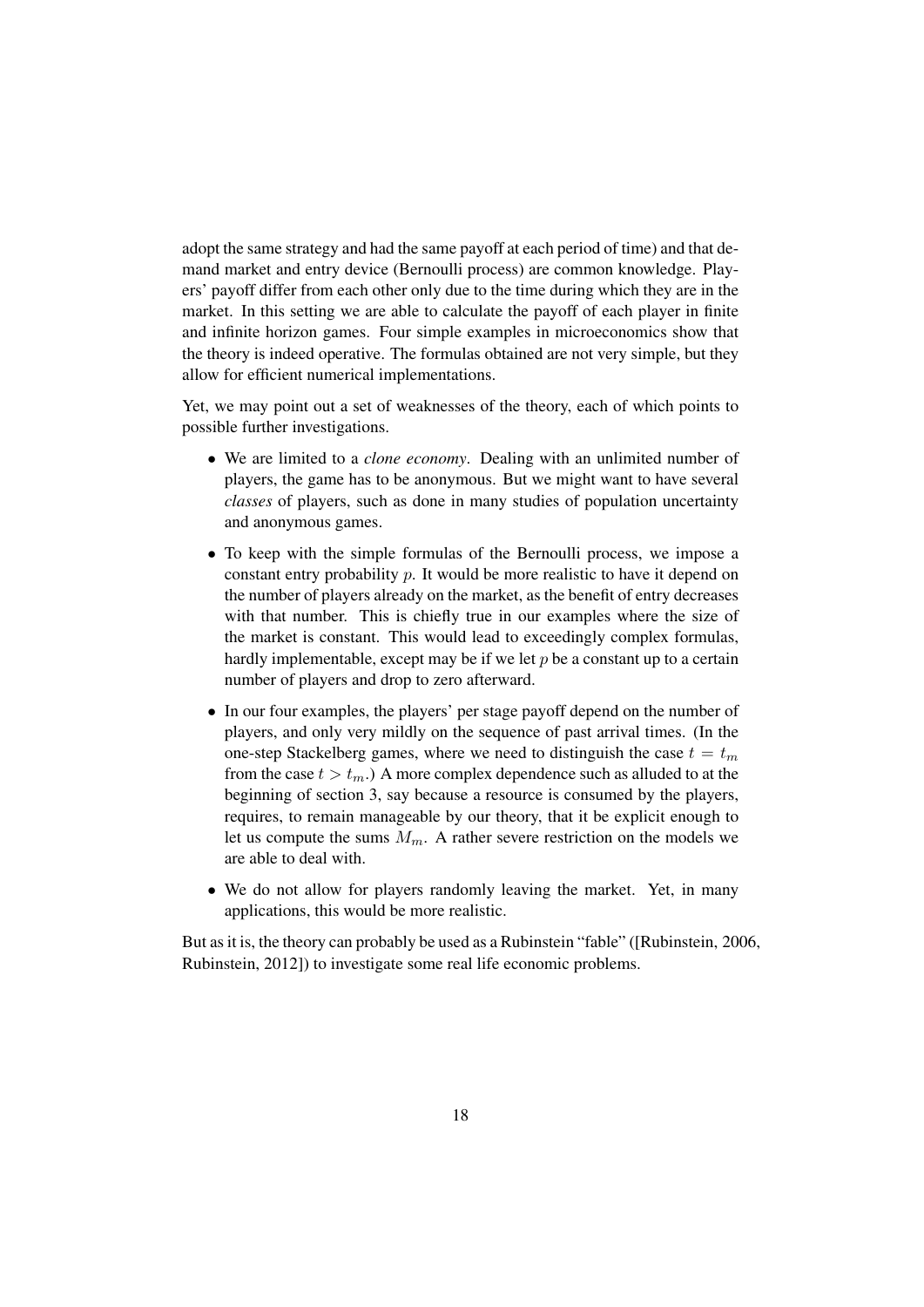adopt the same strategy and had the same payoff at each period of time) and that demand market and entry device (Bernoulli process) are common knowledge. Players' payoff differ from each other only due to the time during which they are in the market. In this setting we are able to calculate the payoff of each player in finite and infinite horizon games. Four simple examples in microeconomics show that the theory is indeed operative. The formulas obtained are not very simple, but they allow for efficient numerical implementations.

Yet, we may point out a set of weaknesses of the theory, each of which points to possible further investigations.

- We are limited to a *clone economy*. Dealing with an unlimited number of players, the game has to be anonymous. But we might want to have several *classes* of players, such as done in many studies of population uncertainty and anonymous games.
- To keep with the simple formulas of the Bernoulli process, we impose a constant entry probability p. It would be more realistic to have it depend on the number of players already on the market, as the benefit of entry decreases with that number. This is chiefly true in our examples where the size of the market is constant. This would lead to exceedingly complex formulas, hardly implementable, except may be if we let  $p$  be a constant up to a certain number of players and drop to zero afterward.
- In our four examples, the players' per stage payoff depend on the number of players, and only very mildly on the sequence of past arrival times. (In the one-step Stackelberg games, where we need to distinguish the case  $t = t_m$ from the case  $t > t_m$ .) A more complex dependence such as alluded to at the beginning of section 3, say because a resource is consumed by the players, requires, to remain manageable by our theory, that it be explicit enough to let us compute the sums  $M_m$ . A rather severe restriction on the models we are able to deal with.
- We do not allow for players randomly leaving the market. Yet, in many applications, this would be more realistic.

But as it is, the theory can probably be used as a Rubinstein "fable" ([Rubinstein, 2006, Rubinstein, 2012]) to investigate some real life economic problems.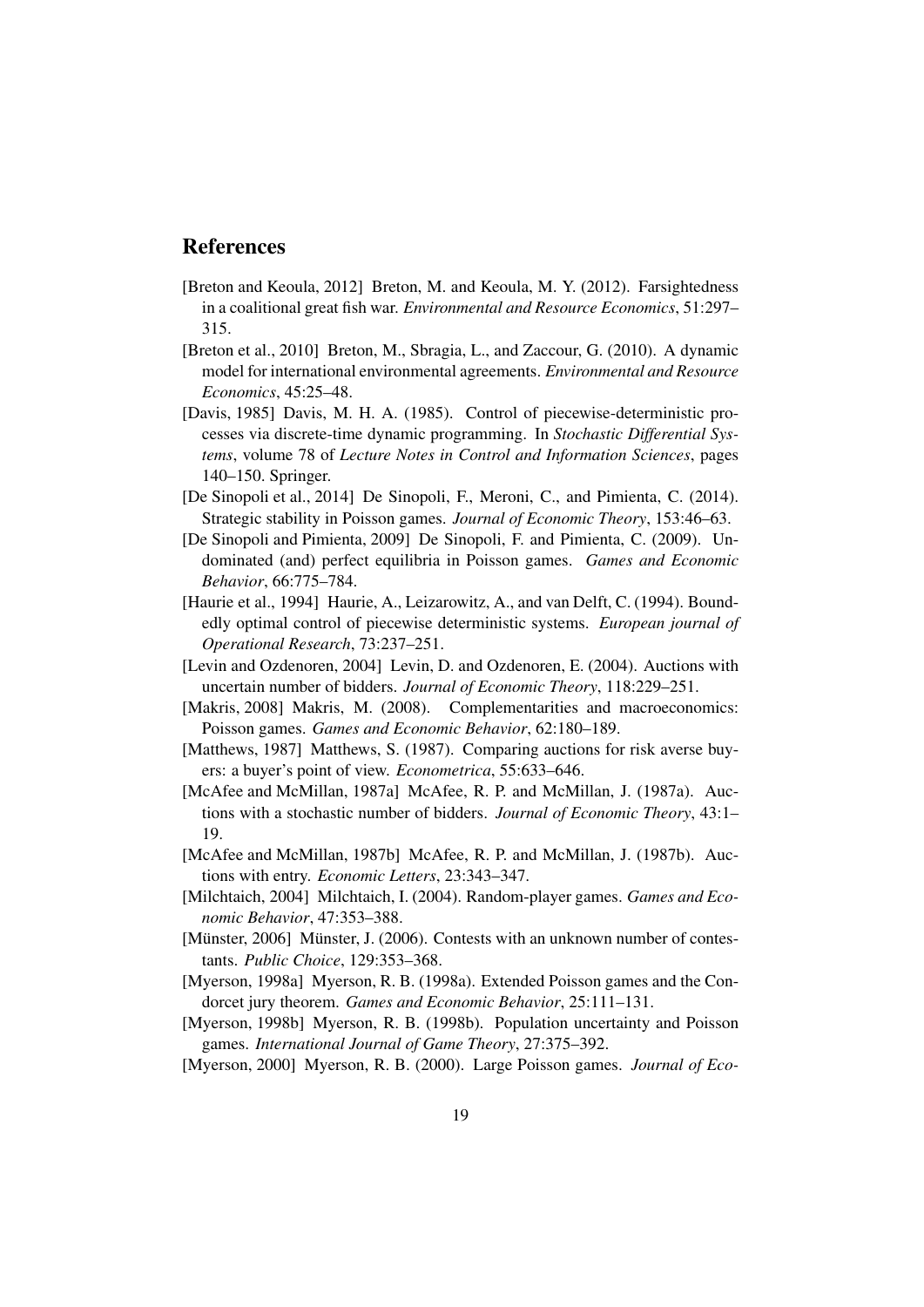## References

- [Breton and Keoula, 2012] Breton, M. and Keoula, M. Y. (2012). Farsightedness in a coalitional great fish war. *Environmental and Resource Economics*, 51:297– 315.
- [Breton et al., 2010] Breton, M., Sbragia, L., and Zaccour, G. (2010). A dynamic model for international environmental agreements. *Environmental and Resource Economics*, 45:25–48.
- [Davis, 1985] Davis, M. H. A. (1985). Control of piecewise-deterministic processes via discrete-time dynamic programming. In *Stochastic Differential Systems*, volume 78 of *Lecture Notes in Control and Information Sciences*, pages 140–150. Springer.
- [De Sinopoli et al., 2014] De Sinopoli, F., Meroni, C., and Pimienta, C. (2014). Strategic stability in Poisson games. *Journal of Economic Theory*, 153:46–63.
- [De Sinopoli and Pimienta, 2009] De Sinopoli, F. and Pimienta, C. (2009). Undominated (and) perfect equilibria in Poisson games. *Games and Economic Behavior*, 66:775–784.
- [Haurie et al., 1994] Haurie, A., Leizarowitz, A., and van Delft, C. (1994). Boundedly optimal control of piecewise deterministic systems. *European journal of Operational Research*, 73:237–251.
- [Levin and Ozdenoren, 2004] Levin, D. and Ozdenoren, E. (2004). Auctions with uncertain number of bidders. *Journal of Economic Theory*, 118:229–251.
- [Makris, 2008] Makris, M. (2008). Complementarities and macroeconomics: Poisson games. *Games and Economic Behavior*, 62:180–189.
- [Matthews, 1987] Matthews, S. (1987). Comparing auctions for risk averse buyers: a buyer's point of view. *Econometrica*, 55:633–646.
- [McAfee and McMillan, 1987a] McAfee, R. P. and McMillan, J. (1987a). Auctions with a stochastic number of bidders. *Journal of Economic Theory*, 43:1– 19.
- [McAfee and McMillan, 1987b] McAfee, R. P. and McMillan, J. (1987b). Auctions with entry. *Economic Letters*, 23:343–347.
- [Milchtaich, 2004] Milchtaich, I. (2004). Random-player games. *Games and Economic Behavior*, 47:353–388.
- [Münster, 2006] Münster, J.  $(2006)$ . Contests with an unknown number of contestants. *Public Choice*, 129:353–368.
- [Myerson, 1998a] Myerson, R. B. (1998a). Extended Poisson games and the Condorcet jury theorem. *Games and Economic Behavior*, 25:111–131.
- [Myerson, 1998b] Myerson, R. B. (1998b). Population uncertainty and Poisson games. *International Journal of Game Theory*, 27:375–392.
- [Myerson, 2000] Myerson, R. B. (2000). Large Poisson games. *Journal of Eco-*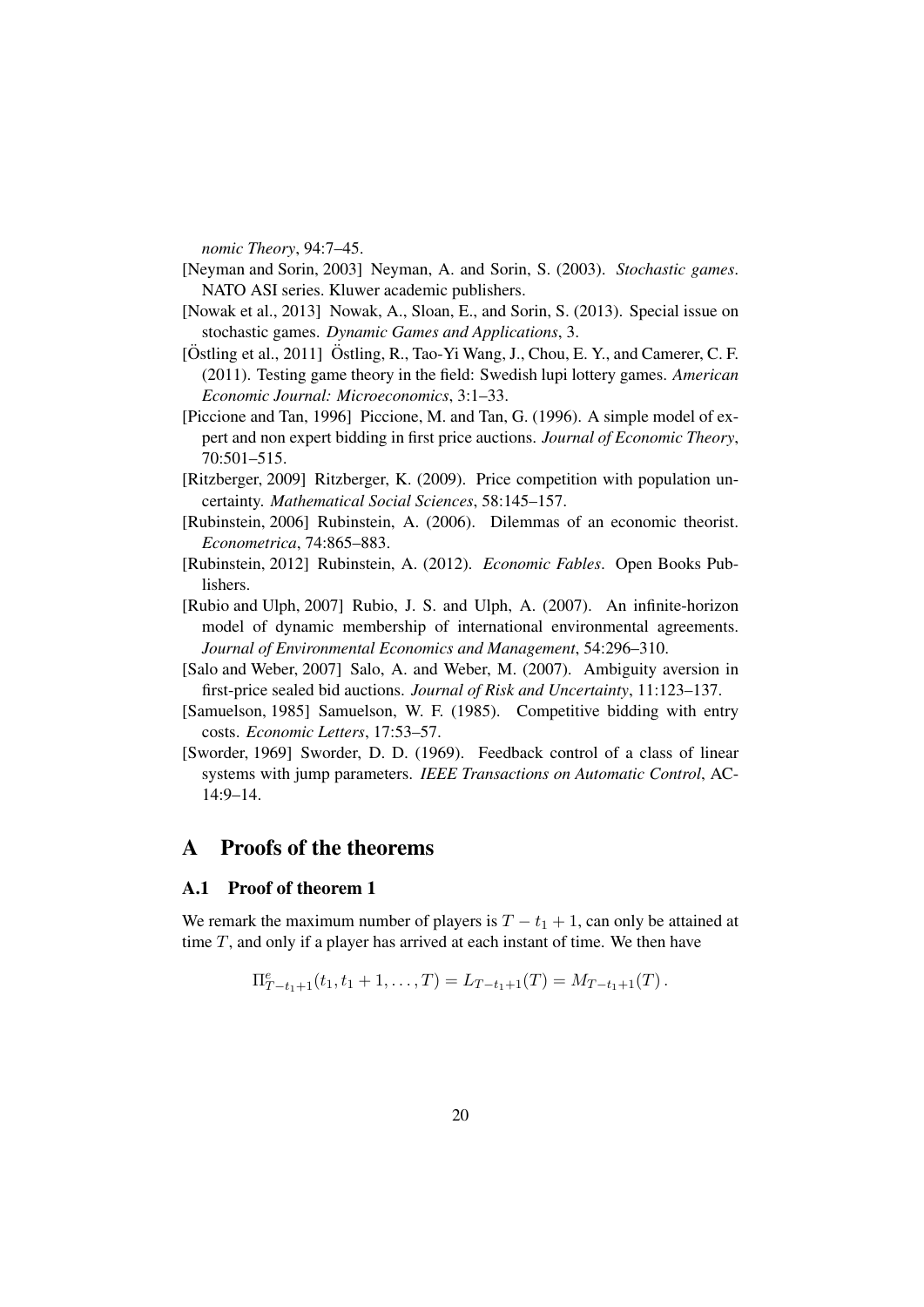*nomic Theory*, 94:7–45.

- [Neyman and Sorin, 2003] Neyman, A. and Sorin, S. (2003). *Stochastic games*. NATO ASI series. Kluwer academic publishers.
- [Nowak et al., 2013] Nowak, A., Sloan, E., and Sorin, S. (2013). Special issue on stochastic games. *Dynamic Games and Applications*, 3.
- [Östling et al., 2011] Östling, R., Tao-Yi Wang, J., Chou, E. Y., and Camerer, C. F. (2011). Testing game theory in the field: Swedish lupi lottery games. *American Economic Journal: Microeconomics*, 3:1–33.
- [Piccione and Tan, 1996] Piccione, M. and Tan, G. (1996). A simple model of expert and non expert bidding in first price auctions. *Journal of Economic Theory*, 70:501–515.
- [Ritzberger, 2009] Ritzberger, K. (2009). Price competition with population uncertainty. *Mathematical Social Sciences*, 58:145–157.
- [Rubinstein, 2006] Rubinstein, A. (2006). Dilemmas of an economic theorist. *Econometrica*, 74:865–883.
- [Rubinstein, 2012] Rubinstein, A. (2012). *Economic Fables*. Open Books Publishers.
- [Rubio and Ulph, 2007] Rubio, J. S. and Ulph, A. (2007). An infinite-horizon model of dynamic membership of international environmental agreements. *Journal of Environmental Economics and Management*, 54:296–310.
- [Salo and Weber, 2007] Salo, A. and Weber, M. (2007). Ambiguity aversion in first-price sealed bid auctions. *Journal of Risk and Uncertainty*, 11:123–137.
- [Samuelson, 1985] Samuelson, W. F. (1985). Competitive bidding with entry costs. *Economic Letters*, 17:53–57.
- [Sworder, 1969] Sworder, D. D. (1969). Feedback control of a class of linear systems with jump parameters. *IEEE Transactions on Automatic Control*, AC-14:9–14.

## A Proofs of the theorems

#### A.1 Proof of theorem 1

We remark the maximum number of players is  $T - t_1 + 1$ , can only be attained at time  $T$ , and only if a player has arrived at each instant of time. We then have

$$
\Pi_{T-t_1+1}^e(t_1,t_1+1,\ldots,T)=L_{T-t_1+1}(T)=M_{T-t_1+1}(T).
$$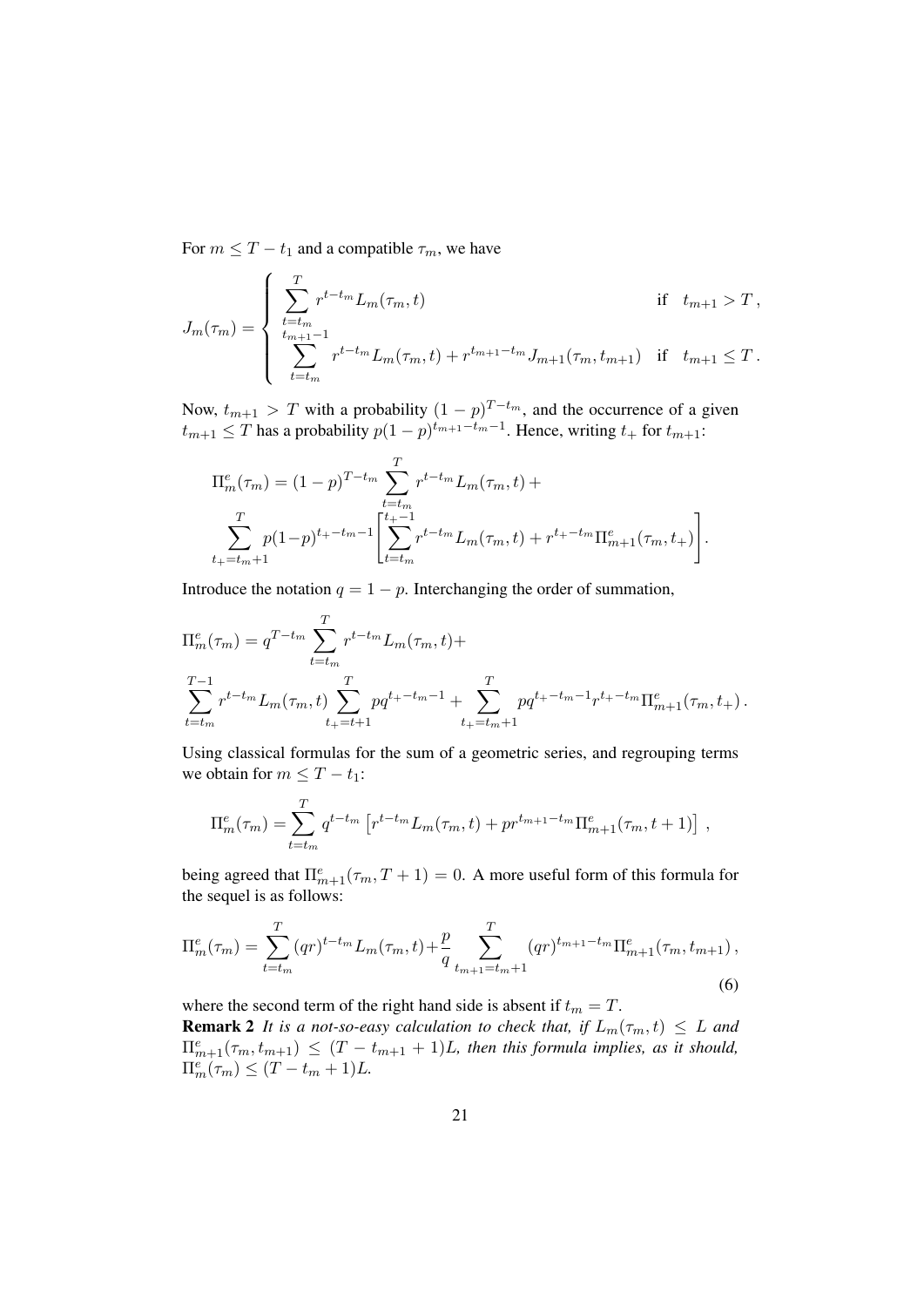For  $m \leq T - t_1$  and a compatible  $\tau_m$ , we have

$$
J_m(\tau_m) = \begin{cases} \sum_{t=t_m}^T r^{t-t_m} L_m(\tau_m, t) & \text{if } t_{m+1} > T, \\ \sum_{t=t_m}^{t_{m+1}-1} r^{t-t_m} L_m(\tau_m, t) + r^{t_{m+1}-t_m} J_{m+1}(\tau_m, t_{m+1}) & \text{if } t_{m+1} \le T. \end{cases}
$$

Now,  $t_{m+1} > T$  with a probability  $(1 - p)^{T-t_m}$ , and the occurrence of a given  $t_{m+1} \leq T$  has a probability  $p(1-p)^{t_{m+1}-t_m-1}$ . Hence, writing  $t_+$  for  $t_{m+1}$ :

$$
\Pi_m^e(\tau_m) = (1-p)^{T-t_m} \sum_{t=t_m}^T r^{t-t_m} L_m(\tau_m, t) +
$$
  

$$
\sum_{t_+ = t_m + 1}^T p(1-p)^{t_+ - t_m - 1} \left[ \sum_{t=t_m}^{t_+ - 1} r^{t-t_m} L_m(\tau_m, t) + r^{t_+ - t_m} \Pi_{m+1}^e(\tau_m, t) \right].
$$

Introduce the notation  $q = 1 - p$ . Interchanging the order of summation,

$$
\Pi_{m}^{e}(\tau_{m}) = q^{T-t_{m}} \sum_{t=t_{m}}^{T} r^{t-t_{m}} L_{m}(\tau_{m}, t) +
$$
\n
$$
\sum_{t=t_{m}}^{T-1} r^{t-t_{m}} L_{m}(\tau_{m}, t) \sum_{t_{+}=t+1}^{T} p q^{t_{+}-t_{m}-1} + \sum_{t_{+}=t_{m}+1}^{T} p q^{t_{+}-t_{m}-1} r^{t_{+}-t_{m}} \Pi_{m+1}^{e}(\tau_{m}, t_{+}).
$$

Using classical formulas for the sum of a geometric series, and regrouping terms we obtain for  $m \leq T - t_1$ :

$$
\Pi_m^e(\tau_m) = \sum_{t=t_m}^T q^{t-t_m} \left[ r^{t-t_m} L_m(\tau_m, t) + p r^{t_{m+1}-t_m} \Pi_{m+1}^e(\tau_m, t+1) \right],
$$

being agreed that  $\Pi_{m+1}^e(\tau_m, T+1) = 0$ . A more useful form of this formula for the sequel is as follows:

$$
\Pi_m^e(\tau_m) = \sum_{t=t_m}^T (qr)^{t-t_m} L_m(\tau_m, t) + \frac{p}{q} \sum_{t_{m+1}=t_m+1}^T (qr)^{t_{m+1}-t_m} \Pi_{m+1}^e(\tau_m, t_{m+1}),
$$
\n(6)

where the second term of the right hand side is absent if  $t_m = T$ .

**Remark 2** *It is a not-so-easy calculation to check that, if*  $L_m(\tau_m, t) \leq L$  *and*  $\Pi_{m+1}^e(\tau_m,t_{m+1}) \leq (T - t_{m+1} + 1)L$ , then this formula implies, as it should,  $\Pi_m^e(\tau_m) \leq (T - t_m + 1)L$ .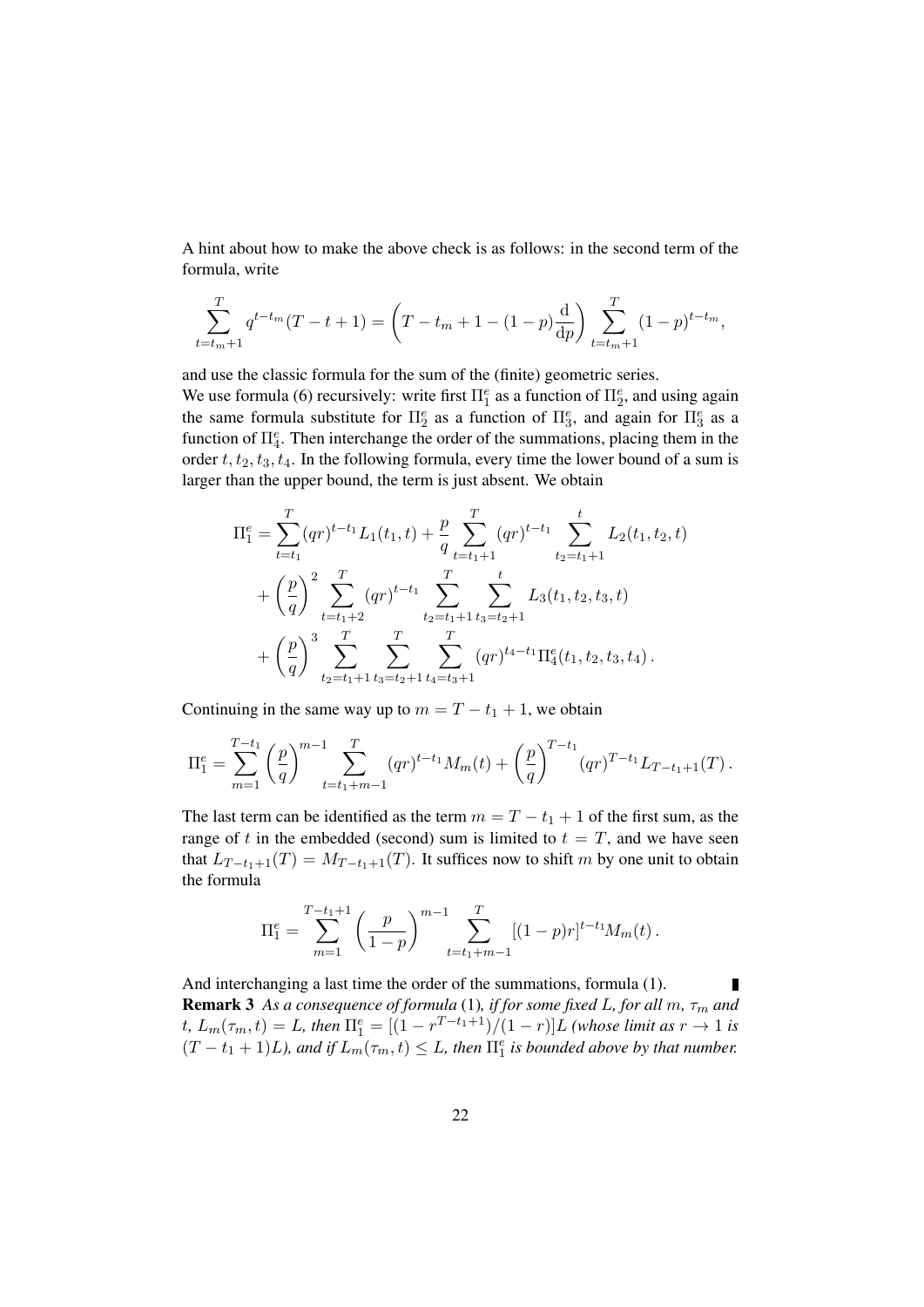A hint about how to make the above check is as follows: in the second term of the formula, write

$$
\sum_{t=t_m+1}^{T} q^{t-t_m} (T-t+1) = \left(T-t_m+1 - (1-p)\frac{d}{dp}\right) \sum_{t=t_m+1}^{T} (1-p)^{t-t_m},
$$

and use the classic formula for the sum of the (finite) geometric series.

We use formula (6) recursively: write first  $\Pi_1^e$  as a function of  $\Pi_2^e$ , and using again the same formula substitute for  $\Pi_2^e$  as a function of  $\Pi_3^e$ , and again for  $\Pi_3^e$  as a function of  $\Pi_4^e$ . Then interchange the order of the summations, placing them in the order  $t, t_2, t_3, t_4$ . In the following formula, every time the lower bound of a sum is larger than the upper bound, the term is just absent. We obtain

$$
\Pi_{1}^{e} = \sum_{t=t_{1}}^{T} (qr)^{t-t_{1}} L_{1}(t_{1}, t) + \frac{p}{q} \sum_{t=t_{1}+1}^{T} (qr)^{t-t_{1}} \sum_{t_{2}=t_{1}+1}^{t} L_{2}(t_{1}, t_{2}, t) \n+ \left(\frac{p}{q}\right)^{2} \sum_{t=t_{1}+2}^{T} (qr)^{t-t_{1}} \sum_{t_{2}=t_{1}+1}^{T} \sum_{t_{3}=t_{2}+1}^{t} L_{3}(t_{1}, t_{2}, t_{3}, t) \n+ \left(\frac{p}{q}\right)^{3} \sum_{t_{2}=t_{1}+1}^{T} \sum_{t_{3}=t_{2}+1}^{T} \sum_{t_{4}=t_{3}+1}^{T} (qr)^{t_{4}-t_{1}} \Pi_{4}^{e}(t_{1}, t_{2}, t_{3}, t_{4}).
$$

Continuing in the same way up to  $m = T - t_1 + 1$ , we obtain

$$
\Pi_1^e = \sum_{m=1}^{T-t_1} \left(\frac{p}{q}\right)^{m-1} \sum_{t=t_1+m-1}^T (qr)^{t-t_1} M_m(t) + \left(\frac{p}{q}\right)^{T-t_1} (qr)^{T-t_1} L_{T-t_1+1}(T).
$$

The last term can be identified as the term  $m = T - t_1 + 1$  of the first sum, as the range of t in the embedded (second) sum is limited to  $t = T$ , and we have seen that  $L_{T-t_1+1}(T) = M_{T-t_1+1}(T)$ . It suffices now to shift m by one unit to obtain the formula

$$
\Pi_1^e = \sum_{m=1}^{T-t_1+1} \left( \frac{p}{1-p} \right)^{m-1} \sum_{t=t_1+m-1}^{T} [(1-p)r]^{t-t_1} M_m(t).
$$

And interchanging a last time the order of the summations, formula (1). **Remark 3** As a consequence of formula (1), if for some fixed L, for all m,  $\tau_m$  and  $t, L_m(\tau_m, t) = L$ , then  $\Pi_1^e = [(1 - r^{T - t_1 + 1})/(1 - r)]L$  *(whose limit as*  $r \to 1$  *is*  $(T - t_1 + 1)L$ , and if  $L_m(\tau_m, t) \leq L$ , then  $\Pi_1^e$  is bounded above by that number.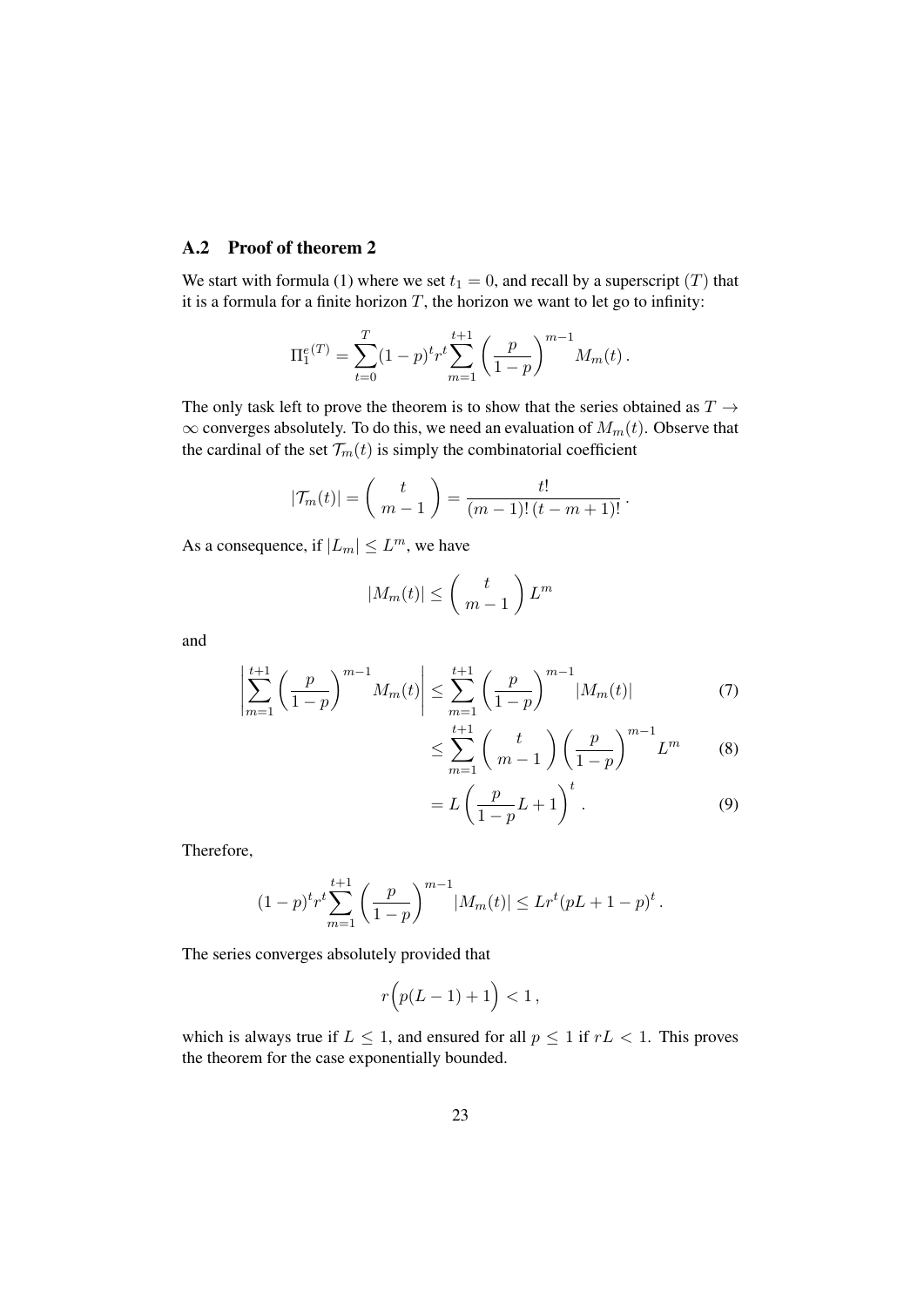#### A.2 Proof of theorem 2

We start with formula (1) where we set  $t_1 = 0$ , and recall by a superscript  $(T)$  that it is a formula for a finite horizon  $T$ , the horizon we want to let go to infinity:

$$
\Pi_1^{e(T)} = \sum_{t=0}^T (1-p)^t r^t \sum_{m=1}^{t+1} \left(\frac{p}{1-p}\right)^{m-1} M_m(t).
$$

The only task left to prove the theorem is to show that the series obtained as  $T \rightarrow$  $\infty$  converges absolutely. To do this, we need an evaluation of  $M_m(t)$ . Observe that the cardinal of the set  $\mathcal{T}_m(t)$  is simply the combinatorial coefficient

$$
|\mathcal{T}_m(t)| = {t \choose m-1} = \frac{t!}{(m-1)!(t-m+1)!}.
$$

As a consequence, if  $|L_m| \le L^m$ , we have

$$
|M_m(t)| \le \left(\begin{array}{c} t \\ m-1 \end{array}\right) L^m
$$

and

$$
\left| \sum_{m=1}^{t+1} \left( \frac{p}{1-p} \right)^{m-1} M_m(t) \right| \le \sum_{m=1}^{t+1} \left( \frac{p}{1-p} \right)^{m-1} |M_m(t)| \tag{7}
$$

$$
\leq \sum_{m=1}^{t+1} \binom{t}{m-1} \left(\frac{p}{1-p}\right)^{m-1} L^m \tag{8}
$$

$$
=L\left(\frac{p}{1-p}L+1\right)^t.
$$
\n(9)

Therefore,

$$
(1-p)^{t}r^{t+1}\sum_{m=1}^{t+1}\left(\frac{p}{1-p}\right)^{m-1}|M_{m}(t)| \le Lr^{t}(pL+1-p)^{t}.
$$

The series converges absolutely provided that

$$
r\Bigl(p(L-1)+1\Bigr)<1\,,
$$

which is always true if  $L \leq 1$ , and ensured for all  $p \leq 1$  if  $rL < 1$ . This proves the theorem for the case exponentially bounded.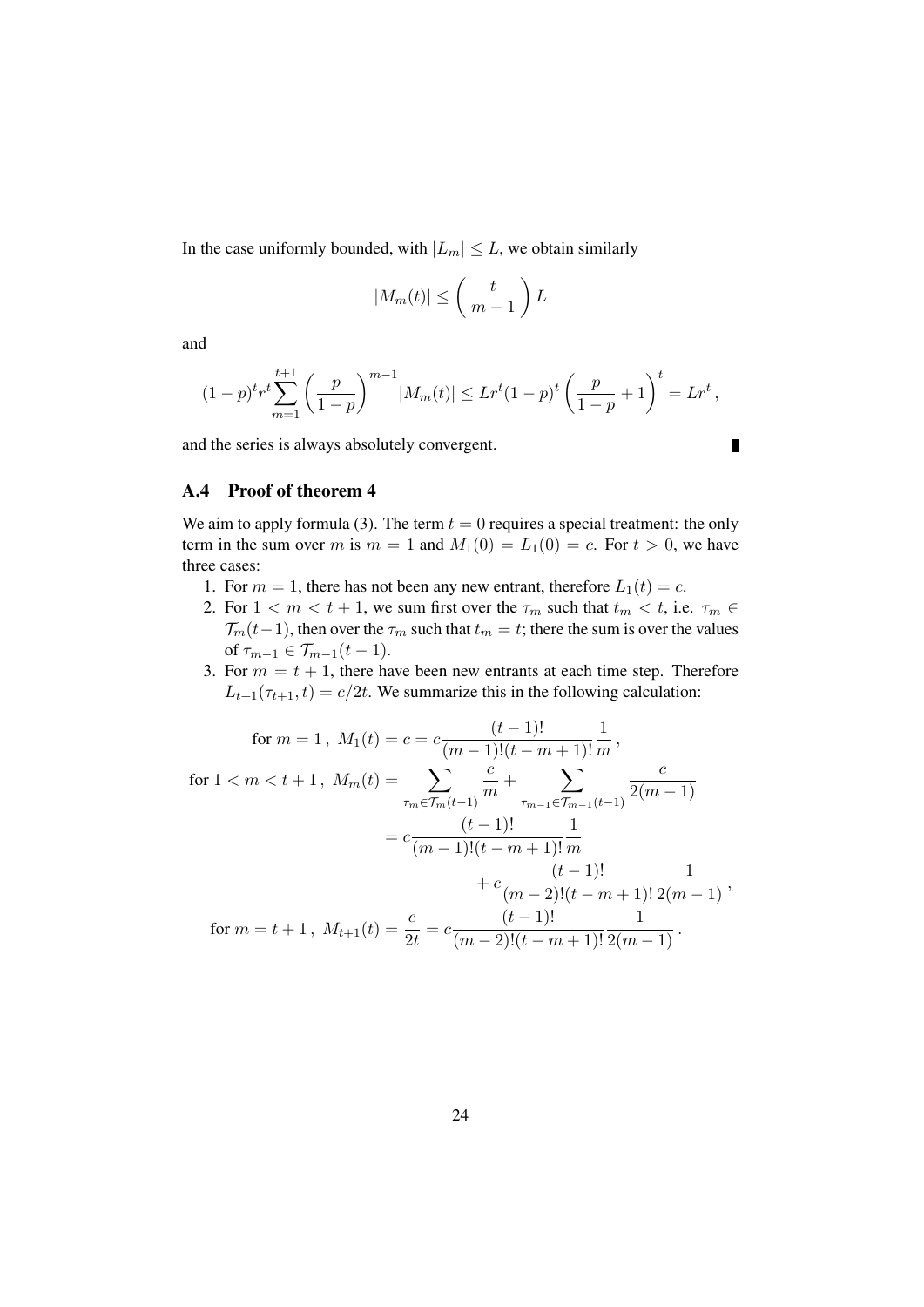In the case uniformly bounded, with  $|L_m| \leq L$ , we obtain similarly

$$
|M_m(t)| \le \left(\frac{t}{m-1}\right)L
$$

and

$$
(1-p)^{t}r^{t}\sum_{m=1}^{t+1}\left(\frac{p}{1-p}\right)^{m-1}|M_{m}(t)| \le Lr^{t}(1-p)^{t}\left(\frac{p}{1-p}+1\right)^{t} = Lr^{t},
$$

and the series is always absolutely convergent.

П

## A.4 Proof of theorem 4

We aim to apply formula (3). The term  $t = 0$  requires a special treatment: the only term in the sum over m is  $m = 1$  and  $M_1(0) = L_1(0) = c$ . For  $t > 0$ , we have three cases:

- 1. For  $m = 1$ , there has not been any new entrant, therefore  $L_1(t) = c$ .
- 2. For  $1 < m < t + 1$ , we sum first over the  $\tau_m$  such that  $t_m < t$ , i.e.  $\tau_m \in$  $\mathcal{T}_m(t-1)$ , then over the  $\tau_m$  such that  $t_m = t$ ; there the sum is over the values of  $\tau_{m-1} \in \mathcal{T}_{m-1}(t-1)$ .
- 3. For  $m = t + 1$ , there have been new entrants at each time step. Therefore  $L_{t+1}(\tau_{t+1}, t) = c/2t$ . We summarize this in the following calculation:

for 
$$
m = 1
$$
,  $M_1(t) = c = c \frac{(t-1)!}{(m-1)!(t-m+1)!} \frac{1}{m}$ ,  
\nfor  $1 < m < t+1$ ,  $M_m(t) = \sum_{\tau_m \in \mathcal{T}_m(t-1)} \frac{c}{m} + \sum_{\tau_{m-1} \in \mathcal{T}_{m-1}(t-1)} \frac{c}{2(m-1)}$   
\n
$$
= c \frac{(t-1)!}{(m-1)!(t-m+1)!} \frac{1}{m} + c \frac{(t-1)!}{(m-2)!(t-m+1)!} \frac{1}{2(m-1)},
$$
\nfor  $m = t+1$ ,  $M_{t+1}(t) = \frac{c}{2t} = c \frac{(t-1)!}{(m-2)!(t-m+1)!} \frac{1}{2(m-1)}$ .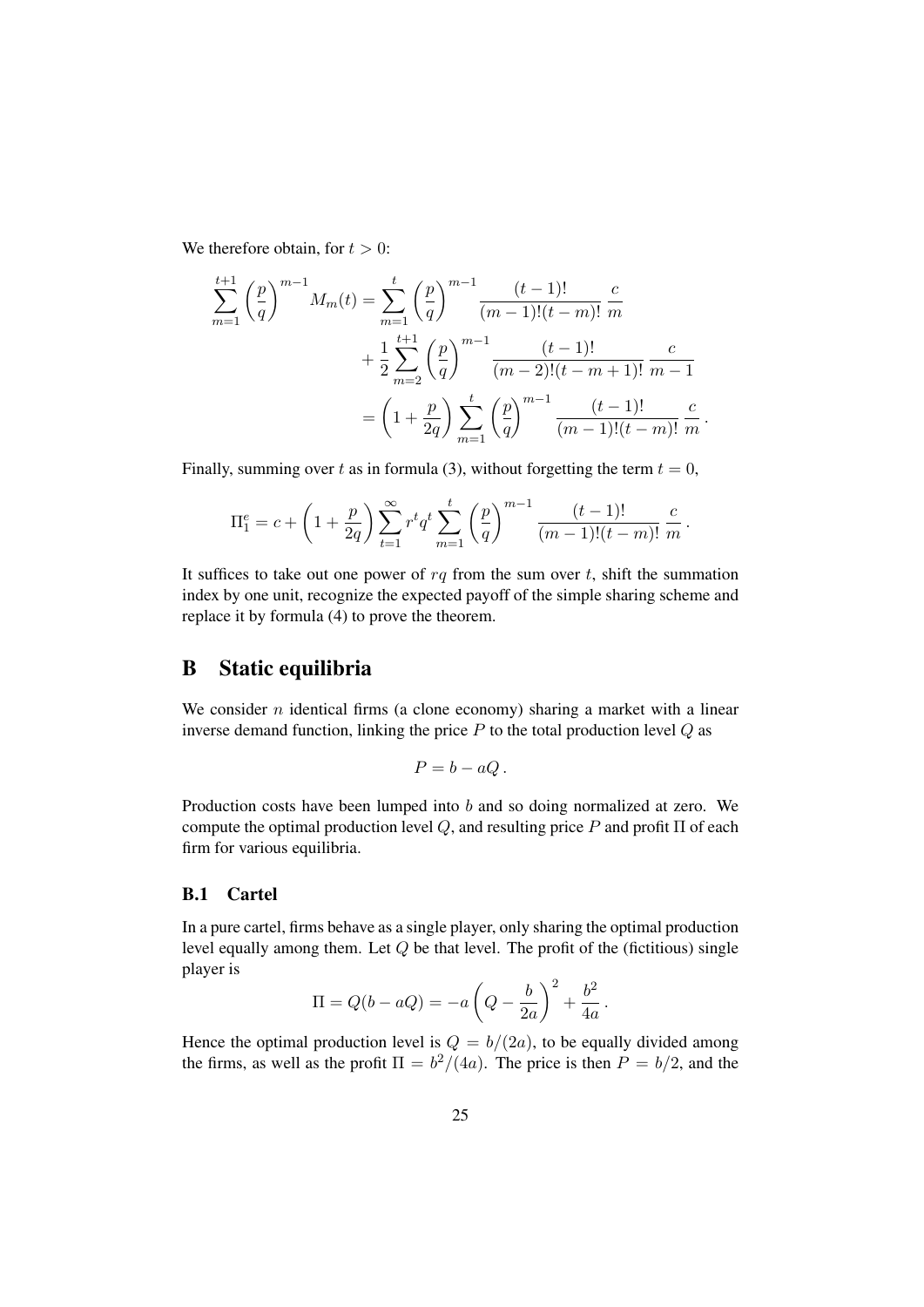We therefore obtain, for  $t > 0$ :

$$
\sum_{m=1}^{t+1} \left(\frac{p}{q}\right)^{m-1} M_m(t) = \sum_{m=1}^t \left(\frac{p}{q}\right)^{m-1} \frac{(t-1)!}{(m-1)!(t-m)!} \frac{c}{m}
$$
  
+ 
$$
\frac{1}{2} \sum_{m=2}^{t+1} \left(\frac{p}{q}\right)^{m-1} \frac{(t-1)!}{(m-2)!(t-m+1)!} \frac{c}{m-1}
$$
  
= 
$$
\left(1 + \frac{p}{2q}\right) \sum_{m=1}^t \left(\frac{p}{q}\right)^{m-1} \frac{(t-1)!}{(m-1)!(t-m)!} \frac{c}{m}.
$$

Finally, summing over t as in formula (3), without forgetting the term  $t = 0$ ,

$$
\Pi_1^e = c + \left(1 + \frac{p}{2q}\right) \sum_{t=1}^{\infty} r^t q^t \sum_{m=1}^t \left(\frac{p}{q}\right)^{m-1} \frac{(t-1)!}{(m-1)!(t-m)!} \frac{c}{m}.
$$

It suffices to take out one power of  $rq$  from the sum over t, shift the summation index by one unit, recognize the expected payoff of the simple sharing scheme and replace it by formula (4) to prove the theorem.

## B Static equilibria

We consider n identical firms (a clone economy) sharing a market with a linear inverse demand function, linking the price  $P$  to the total production level  $Q$  as

$$
P = b - aQ.
$$

Production costs have been lumped into b and so doing normalized at zero. We compute the optimal production level  $Q$ , and resulting price  $P$  and profit  $\Pi$  of each firm for various equilibria.

#### B.1 Cartel

In a pure cartel, firms behave as a single player, only sharing the optimal production level equally among them. Let  $Q$  be that level. The profit of the (fictitious) single player is

$$
\Pi = Q(b - aQ) = -a\left(Q - \frac{b}{2a}\right)^2 + \frac{b^2}{4a}.
$$

Hence the optimal production level is  $Q = b/(2a)$ , to be equally divided among the firms, as well as the profit  $\Pi = b^2/(4a)$ . The price is then  $P = b/2$ , and the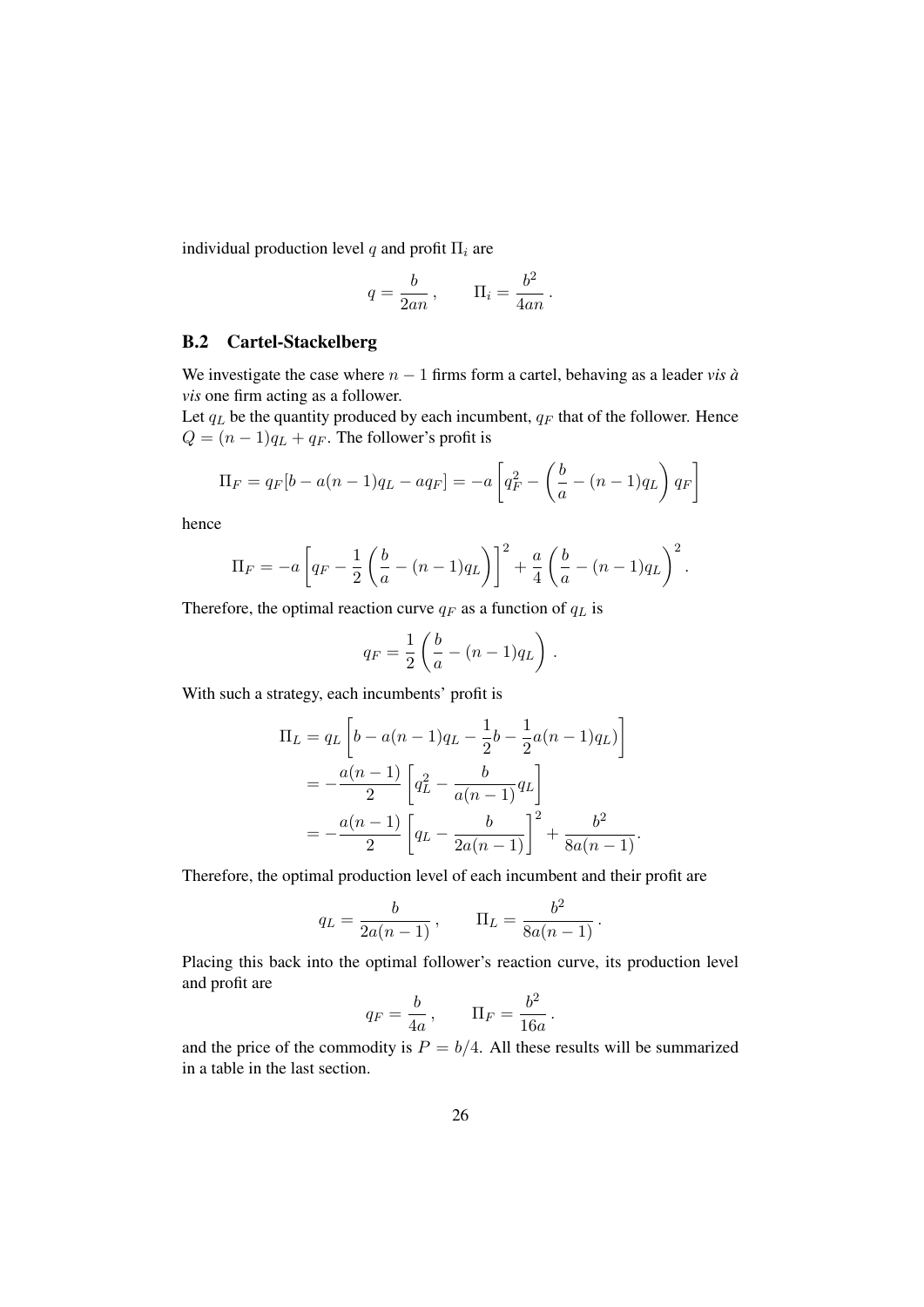individual production level q and profit  $\Pi_i$  are

$$
q = \frac{b}{2an}, \qquad \Pi_i = \frac{b^2}{4an}.
$$

#### B.2 Cartel-Stackelberg

We investigate the case where  $n - 1$  firms form a cartel, behaving as a leader *vis*  $\dot{a}$ *vis* one firm acting as a follower.

Let  $q_L$  be the quantity produced by each incumbent,  $q_F$  that of the follower. Hence  $Q = (n-1)q_L + q_F$ . The follower's profit is

$$
\Pi_F = q_F[b - a(n-1)q_L - aq_F] = -a \left[ q_F^2 - \left( \frac{b}{a} - (n-1)q_L \right) q_F \right]
$$

hence

$$
\Pi_F = -a \left[ q_F - \frac{1}{2} \left( \frac{b}{a} - (n-1) q_L \right) \right]^2 + \frac{a}{4} \left( \frac{b}{a} - (n-1) q_L \right)^2.
$$

Therefore, the optimal reaction curve  $q_F$  as a function of  $q_L$  is

$$
q_F = \frac{1}{2} \left( \frac{b}{a} - (n-1)q_L \right).
$$

With such a strategy, each incumbents' profit is

$$
\Pi_L = q_L \left[ b - a(n-1)q_L - \frac{1}{2}b - \frac{1}{2}a(n-1)q_L \right]
$$
  
=  $-\frac{a(n-1)}{2} \left[ q_L^2 - \frac{b}{a(n-1)} q_L \right]$   
=  $-\frac{a(n-1)}{2} \left[ q_L - \frac{b}{2a(n-1)} \right]^2 + \frac{b^2}{8a(n-1)}.$ 

Therefore, the optimal production level of each incumbent and their profit are

$$
q_L = \frac{b}{2a(n-1)},
$$
  $\Pi_L = \frac{b^2}{8a(n-1)}.$ 

Placing this back into the optimal follower's reaction curve, its production level and profit are

$$
q_F = \frac{b}{4a}, \qquad \Pi_F = \frac{b^2}{16a}.
$$

and the price of the commodity is  $P = b/4$ . All these results will be summarized in a table in the last section.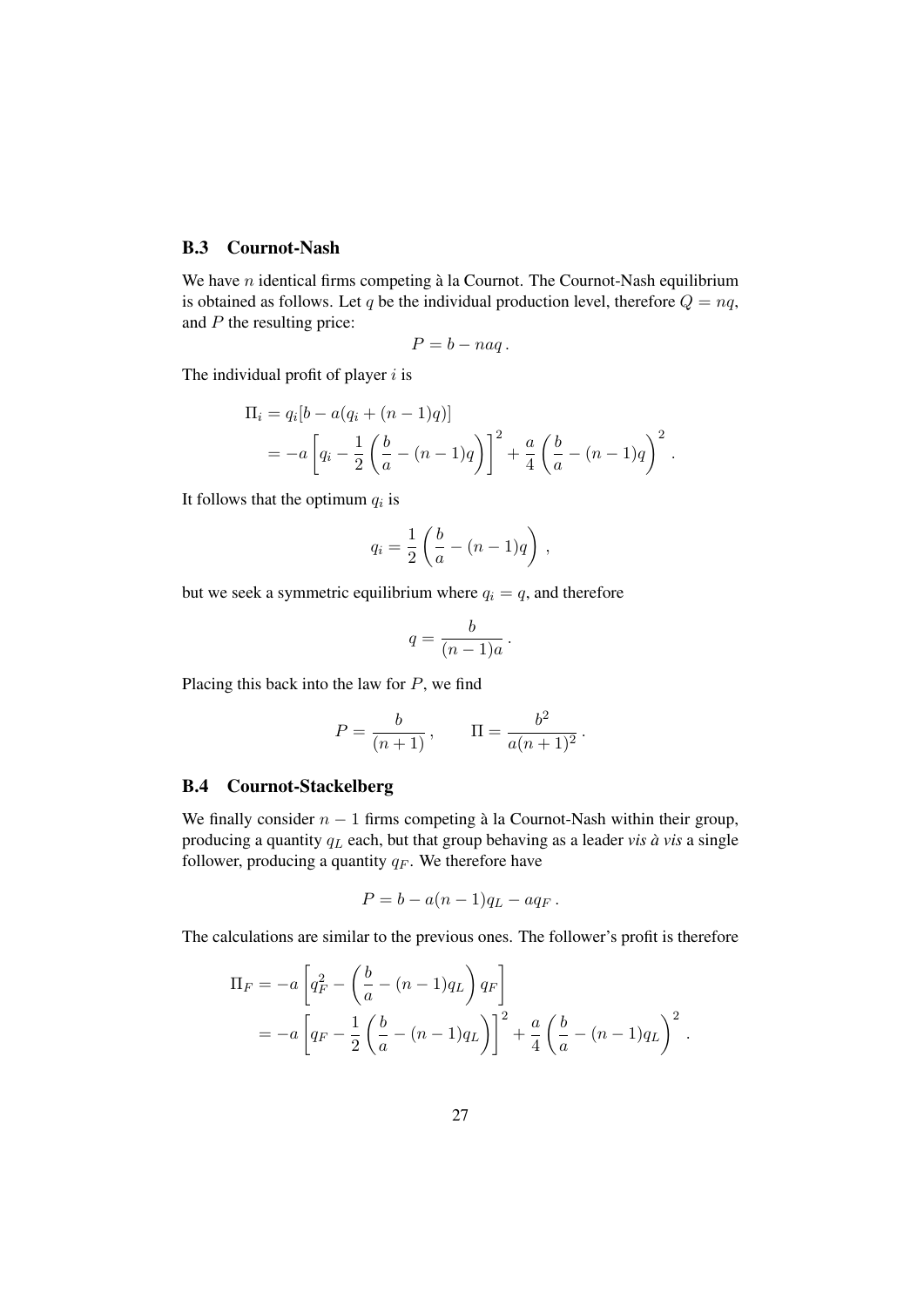#### B.3 Cournot-Nash

We have  $n$  identical firms competing à la Cournot. The Cournot-Nash equilibrium is obtained as follows. Let q be the individual production level, therefore  $Q = nq$ , and  $P$  the resulting price:

$$
P = b - naq.
$$

The individual profit of player  $i$  is

$$
\Pi_i = q_i[b - a(q_i + (n-1)q)]
$$
  
=  $-a \left[ q_i - \frac{1}{2} \left( \frac{b}{a} - (n-1)q \right) \right]^2 + \frac{a}{4} \left( \frac{b}{a} - (n-1)q \right)^2$ .

It follows that the optimum  $q_i$  is

$$
q_i = \frac{1}{2} \left( \frac{b}{a} - (n-1)q \right),
$$

but we seek a symmetric equilibrium where  $q_i = q$ , and therefore

$$
q = \frac{b}{(n-1)a}.
$$

Placing this back into the law for  $P$ , we find

$$
P = \frac{b}{(n+1)},
$$
  $\Pi = \frac{b^2}{a(n+1)^2}.$ 

#### B.4 Cournot-Stackelberg

We finally consider  $n - 1$  firms competing à la Cournot-Nash within their group, producing a quantity  $q_L$  each, but that group behaving as a leader *vis*  $\dot{a}$  *vis* a single follower, producing a quantity  $q_F$ . We therefore have

$$
P = b - a(n-1)qL - aqF.
$$

The calculations are similar to the previous ones. The follower's profit is therefore

$$
\Pi_F = -a \left[ q_F^2 - \left( \frac{b}{a} - (n-1)q_L \right) q_F \right]
$$
  
= 
$$
-a \left[ q_F - \frac{1}{2} \left( \frac{b}{a} - (n-1)q_L \right) \right]^2 + \frac{a}{4} \left( \frac{b}{a} - (n-1)q_L \right)^2.
$$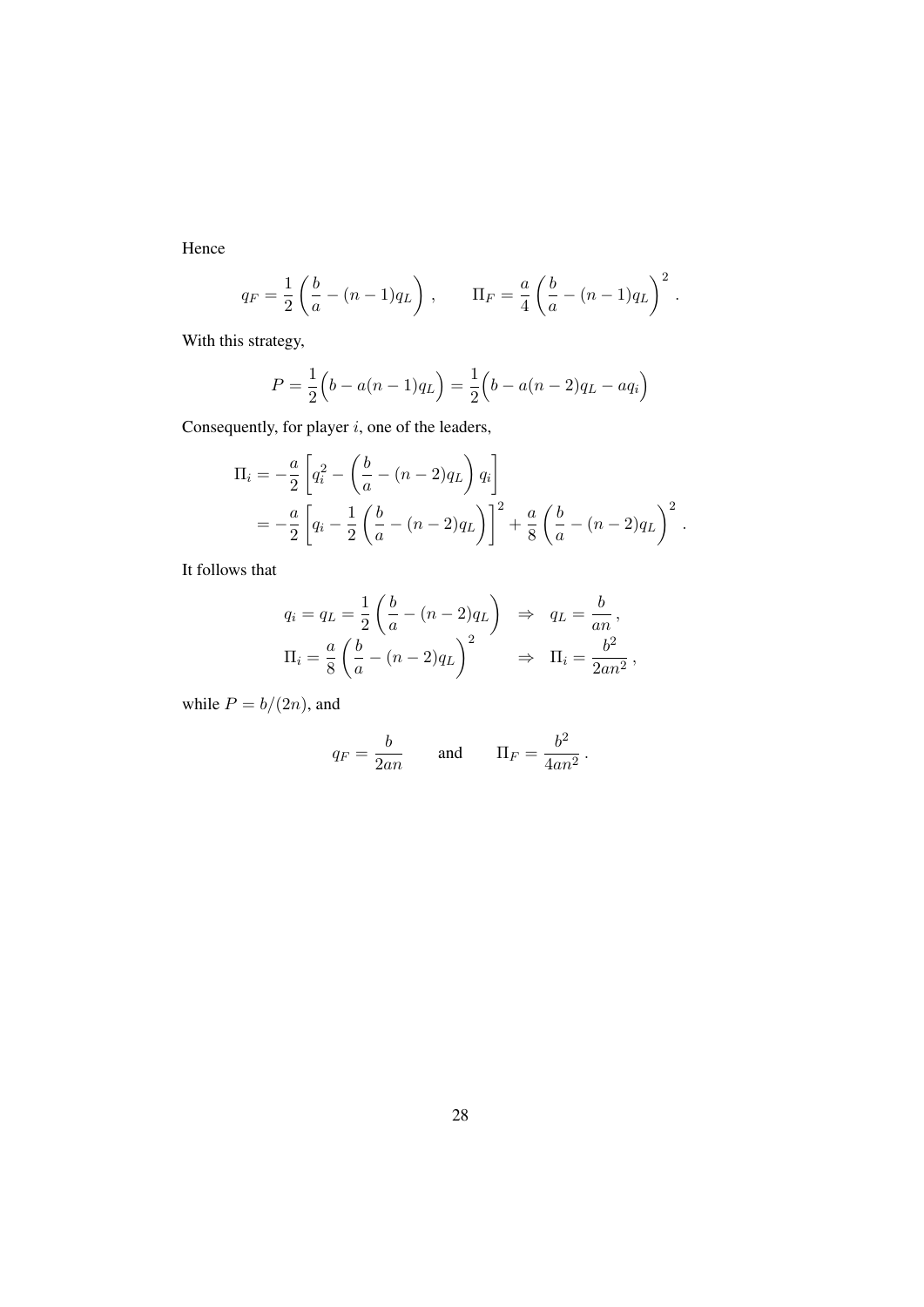Hence

$$
q_F = \frac{1}{2} \left( \frac{b}{a} - (n-1) q_L \right) , \qquad \Pi_F = \frac{a}{4} \left( \frac{b}{a} - (n-1) q_L \right)^2 .
$$

With this strategy,

$$
P = \frac{1}{2} (b - a(n-1)q_L) = \frac{1}{2} (b - a(n-2)q_L - aq_i)
$$

Consequently, for player  $i$ , one of the leaders,

$$
\Pi_{i} = -\frac{a}{2} \left[ q_{i}^{2} - \left( \frac{b}{a} - (n - 2) q_{L} \right) q_{i} \right]
$$
  
=  $-\frac{a}{2} \left[ q_{i} - \frac{1}{2} \left( \frac{b}{a} - (n - 2) q_{L} \right) \right]^{2} + \frac{a}{8} \left( \frac{b}{a} - (n - 2) q_{L} \right)^{2}$ .

It follows that

$$
q_i = q_L = \frac{1}{2} \left( \frac{b}{a} - (n-2)q_L \right) \Rightarrow q_L = \frac{b}{an},
$$
  

$$
\Pi_i = \frac{a}{8} \left( \frac{b}{a} - (n-2)q_L \right)^2 \Rightarrow \Pi_i = \frac{b^2}{2an^2},
$$

while  $P = b/(2n)$ , and

$$
q_F = \frac{b}{2an} \quad \text{and} \quad \Pi_F = \frac{b^2}{4an^2} \, .
$$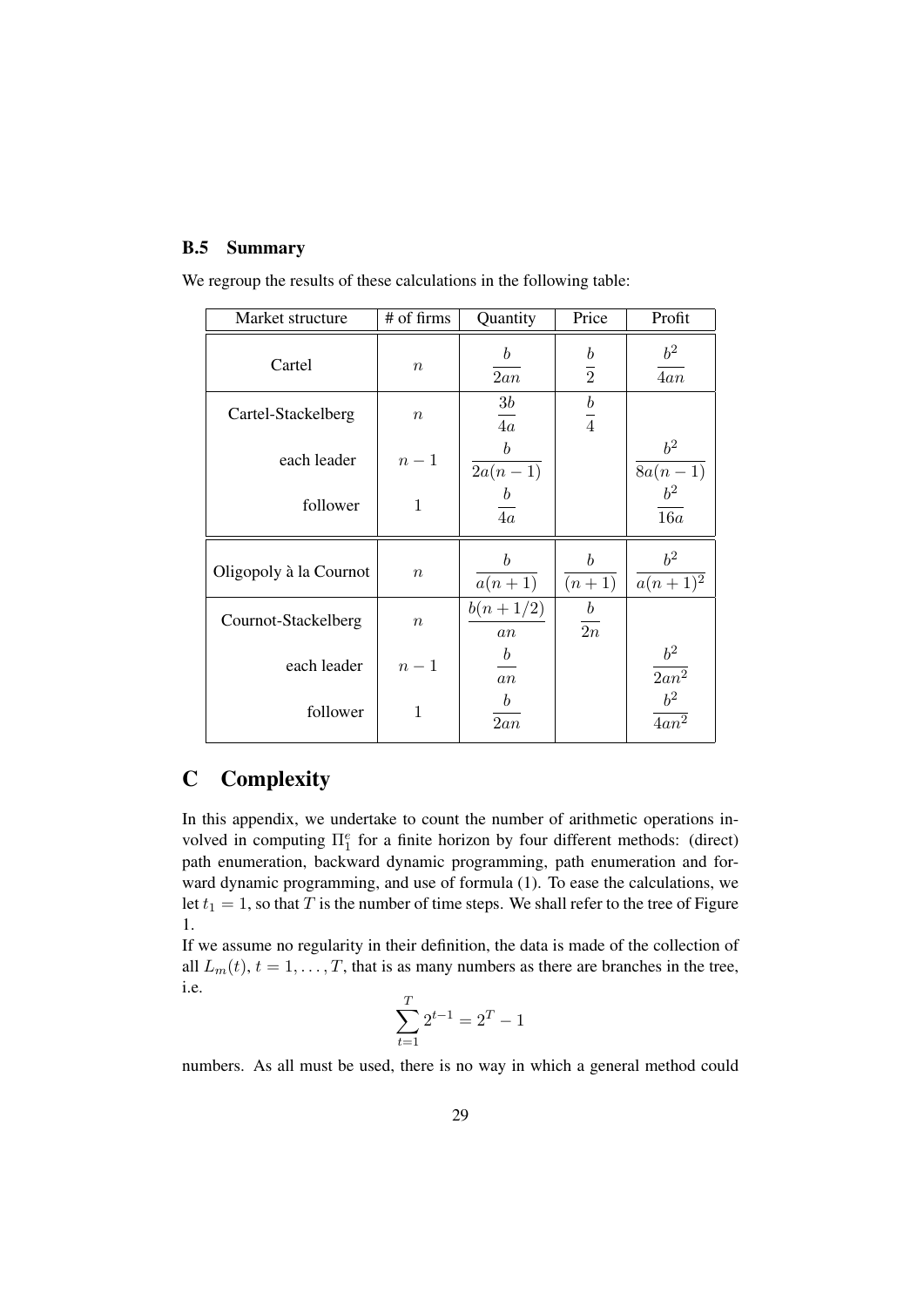#### B.5 Summary

We regroup the results of these calculations in the following table:

| Market structure       | # of firms       | Quantity                                 | Price                       | Profit                         |
|------------------------|------------------|------------------------------------------|-----------------------------|--------------------------------|
| Cartel                 | $\boldsymbol{n}$ | $\boldsymbol{b}$<br>2an                  | $rac{b}{2}$                 | $b^2$<br>4an                   |
| Cartel-Stackelberg     | $\boldsymbol{n}$ | 3 <sub>b</sub><br>$\overline{4a}$        | $\frac{b}{4}$               |                                |
| each leader            | $n-1$            | $\boldsymbol{b}$<br>$\overline{2a(n-1)}$ |                             | $b^2$<br>$\frac{8a(n-1)}{b^2}$ |
| follower               | $\mathbf{1}$     | $\frac{b}{4a}$                           |                             | $\overline{16a}$               |
| Oligopoly à la Cournot | $\boldsymbol{n}$ | $\boldsymbol{b}$<br>$a(n+1)$             | $\boldsymbol{b}$<br>$(n+1)$ | $b^2$<br>$\overline{a(n+1)^2}$ |
| Cournot-Stackelberg    | $\it{n}$         | $b(n+1/2)$<br>a n                        | $\frac{b}{2n}$              |                                |
| each leader            | $n-1$            | $\boldsymbol{b}$<br>a n                  |                             | $b^2$<br>$\overline{2an^2}$    |
| follower               | $\mathbf{1}$     | $\boldsymbol{b}$<br>2an                  |                             | $b^2$<br>$4an^2$               |

## C Complexity

In this appendix, we undertake to count the number of arithmetic operations involved in computing  $\Pi_1^e$  for a finite horizon by four different methods: (direct) path enumeration, backward dynamic programming, path enumeration and forward dynamic programming, and use of formula (1). To ease the calculations, we let  $t_1 = 1$ , so that T is the number of time steps. We shall refer to the tree of Figure 1.

If we assume no regularity in their definition, the data is made of the collection of all  $L_m(t)$ ,  $t = 1, \ldots, T$ , that is as many numbers as there are branches in the tree, i.e.

$$
\sum_{t=1}^{T} 2^{t-1} = 2^{T} - 1
$$

numbers. As all must be used, there is no way in which a general method could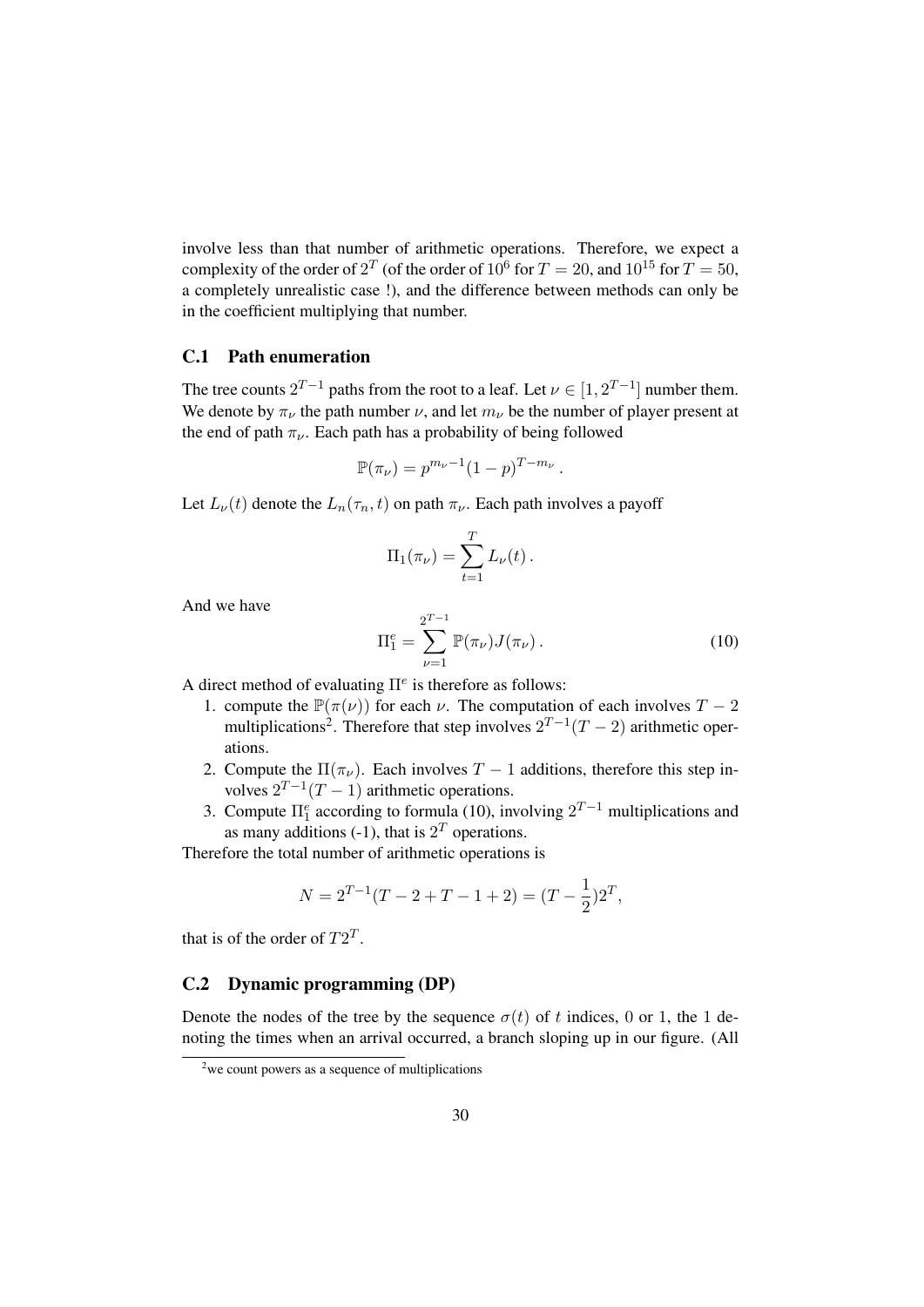involve less than that number of arithmetic operations. Therefore, we expect a complexity of the order of  $2^T$  (of the order of  $10^6$  for  $T = 20$ , and  $10^{15}$  for  $T = 50$ , a completely unrealistic case !), and the difference between methods can only be in the coefficient multiplying that number.

#### C.1 Path enumeration

The tree counts  $2^{T-1}$  paths from the root to a leaf. Let  $\nu \in [1, 2^{T-1}]$  number them. We denote by  $\pi_{\nu}$  the path number  $\nu$ , and let  $m_{\nu}$  be the number of player present at the end of path  $\pi_{\nu}$ . Each path has a probability of being followed

$$
\mathbb{P}(\pi_{\nu}) = p^{m_{\nu}-1}(1-p)^{T-m_{\nu}}.
$$

Let  $L_{\nu}(t)$  denote the  $L_n(\tau_n, t)$  on path  $\pi_{\nu}$ . Each path involves a payoff

$$
\Pi_1(\pi_\nu) = \sum_{t=1}^T L_\nu(t).
$$

And we have

$$
\Pi_1^e = \sum_{\nu=1}^{2^{T-1}} \mathbb{P}(\pi_{\nu}) J(\pi_{\nu}).
$$
\n(10)

A direct method of evaluating  $\Pi^e$  is therefore as follows:

- 1. compute the  $\mathbb{P}(\pi(\nu))$  for each  $\nu$ . The computation of each involves  $T 2$ multiplications<sup>2</sup>. Therefore that step involves  $2^{T-1}(T-2)$  arithmetic operations.
- 2. Compute the  $\Pi(\pi_{\nu})$ . Each involves  $T 1$  additions, therefore this step involves  $2^{T-1}(T-1)$  arithmetic operations.
- 3. Compute  $\Pi_1^e$  according to formula (10), involving  $2^{T-1}$  multiplications and as many additions (-1), that is  $2<sup>T</sup>$  operations.

Therefore the total number of arithmetic operations is

$$
N = 2^{T-1}(T - 2 + T - 1 + 2) = (T - \frac{1}{2})2^{T},
$$

that is of the order of  $T2^T$ .

#### C.2 Dynamic programming (DP)

Denote the nodes of the tree by the sequence  $\sigma(t)$  of t indices, 0 or 1, the 1 denoting the times when an arrival occurred, a branch sloping up in our figure. (All

<sup>&</sup>lt;sup>2</sup>we count powers as a sequence of multiplications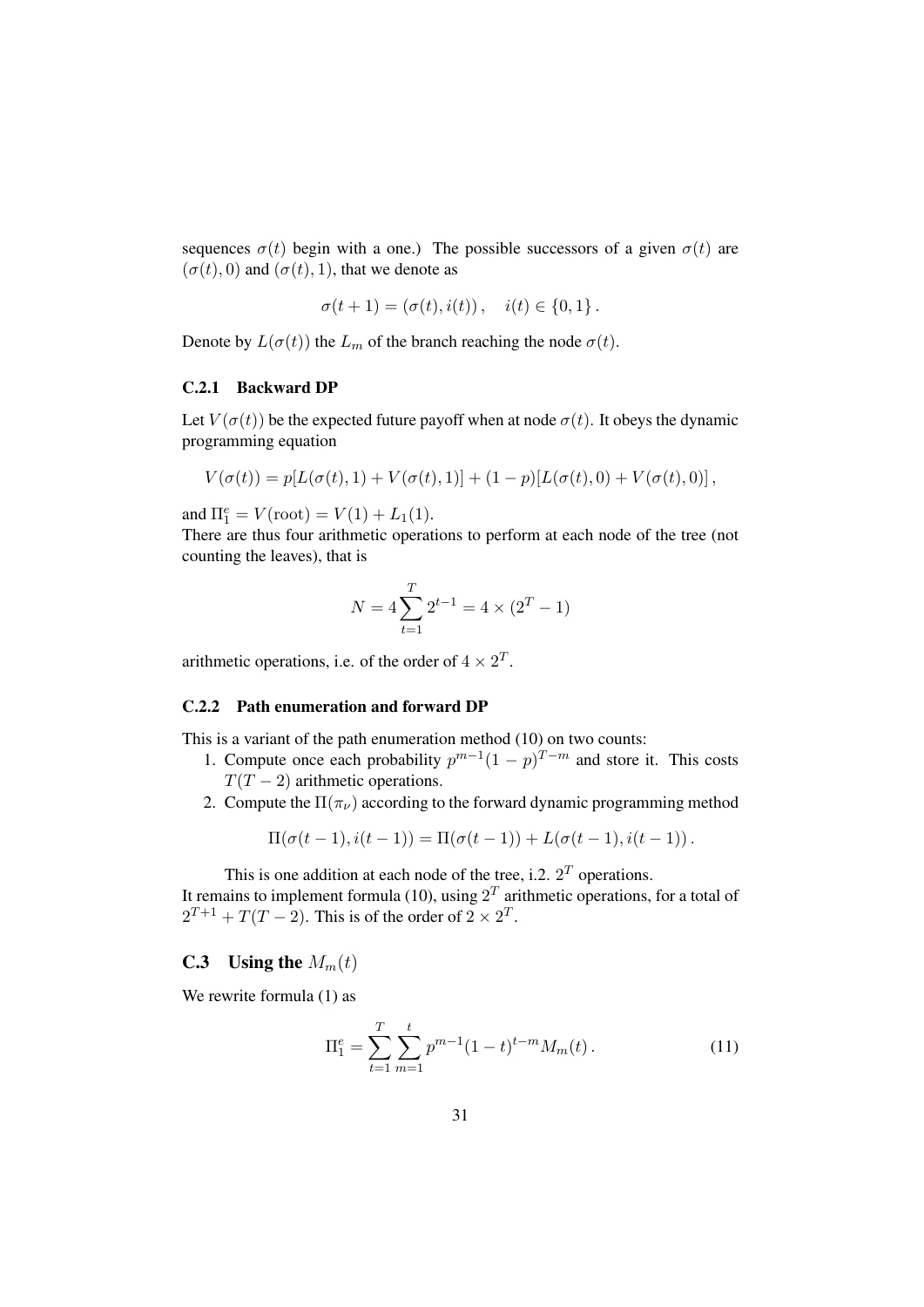sequences  $\sigma(t)$  begin with a one.) The possible successors of a given  $\sigma(t)$  are  $(\sigma(t), 0)$  and  $(\sigma(t), 1)$ , that we denote as

$$
\sigma(t+1) = (\sigma(t), i(t)), \quad i(t) \in \{0, 1\}.
$$

Denote by  $L(\sigma(t))$  the  $L_m$  of the branch reaching the node  $\sigma(t)$ .

#### C.2.1 Backward DP

Let  $V(\sigma(t))$  be the expected future payoff when at node  $\sigma(t)$ . It obeys the dynamic programming equation

$$
V(\sigma(t)) = p[L(\sigma(t), 1) + V(\sigma(t), 1)] + (1 - p)[L(\sigma(t), 0) + V(\sigma(t), 0)],
$$

and  $\Pi_1^e = V(\text{root}) = V(1) + L_1(1)$ .

There are thus four arithmetic operations to perform at each node of the tree (not counting the leaves), that is

$$
N = 4\sum_{t=1}^{T} 2^{t-1} = 4 \times (2^{T} - 1)
$$

arithmetic operations, i.e. of the order of  $4 \times 2^T$ .

#### C.2.2 Path enumeration and forward DP

This is a variant of the path enumeration method (10) on two counts:

- 1. Compute once each probability  $p^{m-1}(1-p)^{T-m}$  and store it. This costs  $T(T - 2)$  arithmetic operations.
- 2. Compute the  $\Pi(\pi_{\nu})$  according to the forward dynamic programming method

$$
\Pi(\sigma(t-1), i(t-1)) = \Pi(\sigma(t-1)) + L(\sigma(t-1), i(t-1)).
$$

This is one addition at each node of the tree, i.2.  $2^T$  operations. It remains to implement formula (10), using  $2<sup>T</sup>$  arithmetic operations, for a total of  $2^{T+1} + T(T-2)$ . This is of the order of  $2 \times 2^T$ .

#### **C.3** Using the  $M_m(t)$

We rewrite formula (1) as

$$
\Pi_1^e = \sum_{t=1}^T \sum_{m=1}^t p^{m-1} (1-t)^{t-m} M_m(t).
$$
 (11)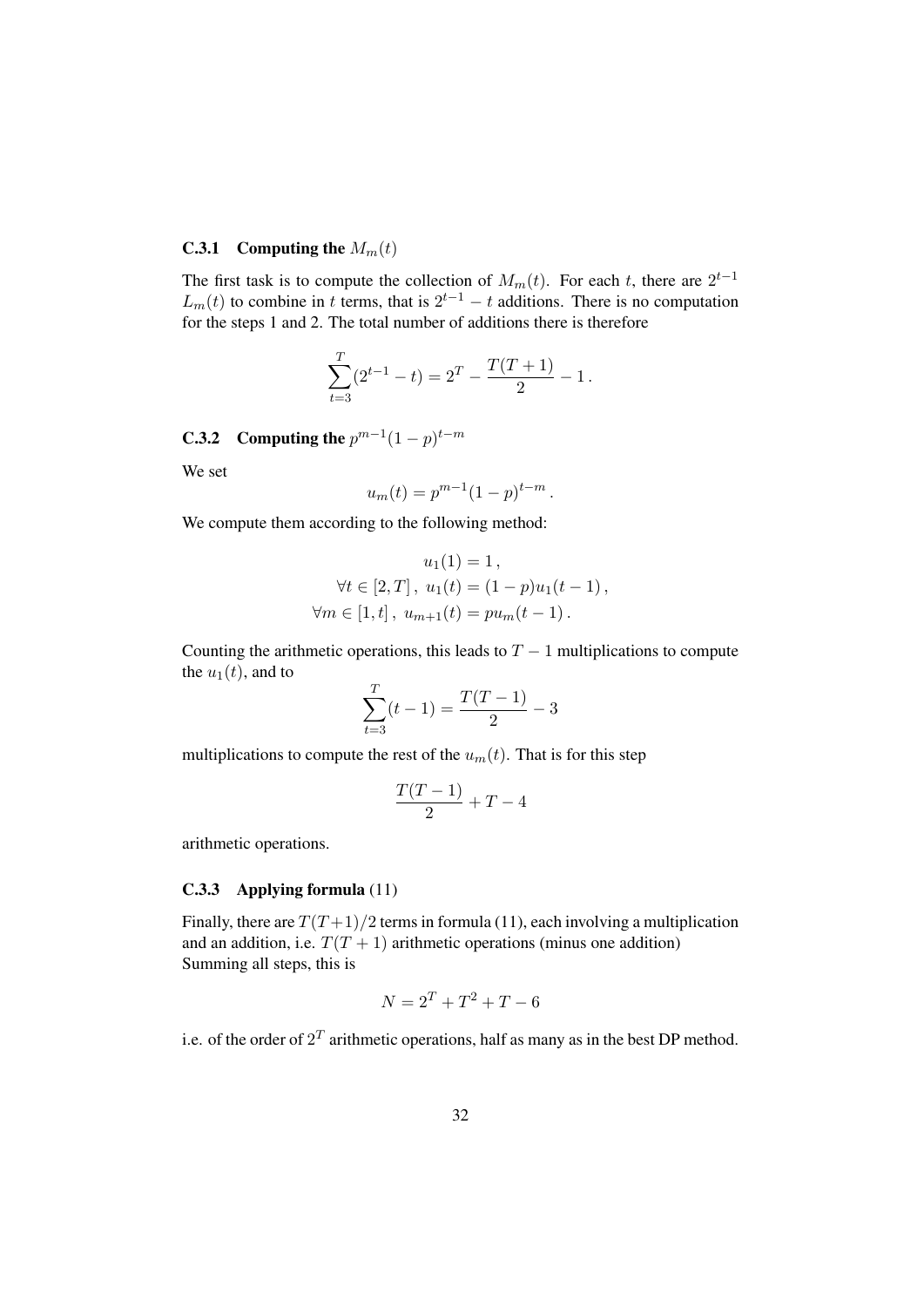#### **C.3.1** Computing the  $M_m(t)$

The first task is to compute the collection of  $M_m(t)$ . For each t, there are  $2^{t-1}$  $L_m(t)$  to combine in t terms, that is  $2^{t-1} - t$  additions. There is no computation for the steps 1 and 2. The total number of additions there is therefore

$$
\sum_{t=3}^{T} (2^{t-1} - t) = 2^{T} - \frac{T(T+1)}{2} - 1.
$$

**C.3.2** Computing the  $p^{m-1}(1-p)^{t-m}$ 

We set

$$
u_m(t) = p^{m-1}(1-p)^{t-m}.
$$

We compute them according to the following method:

$$
u_1(1) = 1,
$$
  
\n
$$
\forall t \in [2, T], u_1(t) = (1 - p)u_1(t - 1),
$$
  
\n
$$
\forall m \in [1, t], u_{m+1}(t) = pu_m(t - 1).
$$

Counting the arithmetic operations, this leads to  $T - 1$  multiplications to compute the  $u_1(t)$ , and to

$$
\sum_{t=3}^{T} (t-1) = \frac{T(T-1)}{2} - 3
$$

multiplications to compute the rest of the  $u_m(t)$ . That is for this step

$$
\frac{T(T-1)}{2} + T - 4
$$

arithmetic operations.

#### C.3.3 Applying formula (11)

Finally, there are  $T(T+1)/2$  terms in formula (11), each involving a multiplication and an addition, i.e.  $T(T + 1)$  arithmetic operations (minus one addition) Summing all steps, this is

$$
N = 2^T + T^2 + T - 6
$$

i.e. of the order of  $2<sup>T</sup>$  arithmetic operations, half as many as in the best DP method.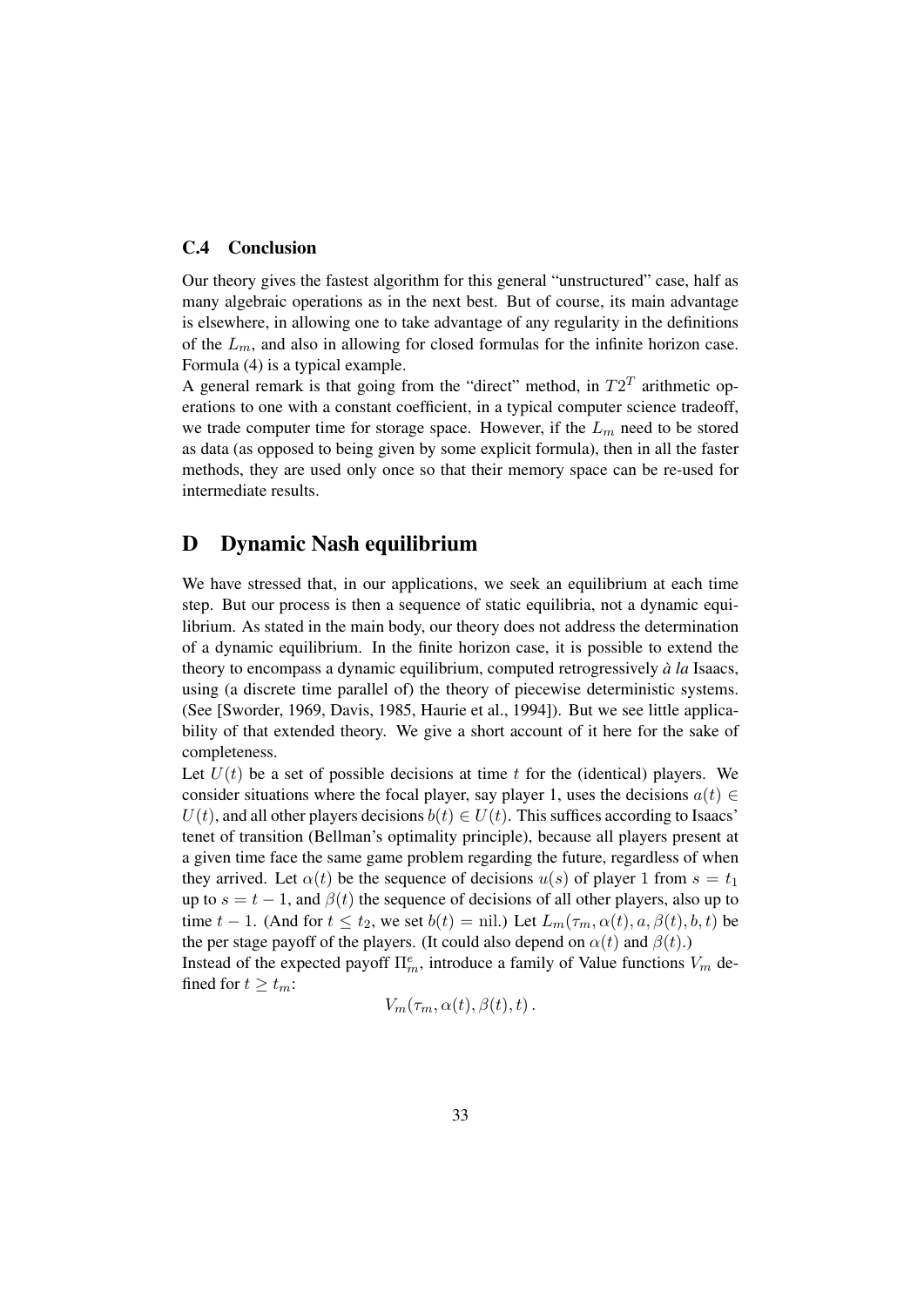#### C.4 Conclusion

Our theory gives the fastest algorithm for this general "unstructured" case, half as many algebraic operations as in the next best. But of course, its main advantage is elsewhere, in allowing one to take advantage of any regularity in the definitions of the  $L_m$ , and also in allowing for closed formulas for the infinite horizon case. Formula (4) is a typical example.

A general remark is that going from the "direct" method, in  $T2^T$  arithmetic operations to one with a constant coefficient, in a typical computer science tradeoff, we trade computer time for storage space. However, if the  $L_m$  need to be stored as data (as opposed to being given by some explicit formula), then in all the faster methods, they are used only once so that their memory space can be re-used for intermediate results.

## D Dynamic Nash equilibrium

We have stressed that, in our applications, we seek an equilibrium at each time step. But our process is then a sequence of static equilibria, not a dynamic equilibrium. As stated in the main body, our theory does not address the determination of a dynamic equilibrium. In the finite horizon case, it is possible to extend the theory to encompass a dynamic equilibrium, computed retrogressively  $\dot{a}$  *la* Isaacs, using (a discrete time parallel of) the theory of piecewise deterministic systems. (See [Sworder, 1969, Davis, 1985, Haurie et al., 1994]). But we see little applicability of that extended theory. We give a short account of it here for the sake of completeness.

Let  $U(t)$  be a set of possible decisions at time t for the (identical) players. We consider situations where the focal player, say player 1, uses the decisions  $a(t) \in$  $U(t)$ , and all other players decisions  $b(t) \in U(t)$ . This suffices according to Isaacs' tenet of transition (Bellman's optimality principle), because all players present at a given time face the same game problem regarding the future, regardless of when they arrived. Let  $\alpha(t)$  be the sequence of decisions  $u(s)$  of player 1 from  $s = t_1$ up to  $s = t - 1$ , and  $\beta(t)$  the sequence of decisions of all other players, also up to time  $t-1$ . (And for  $t \leq t_2$ , we set  $b(t) = \text{nil}$ .) Let  $L_m(\tau_m, \alpha(t), a, \beta(t), b, t)$  be the per stage payoff of the players. (It could also depend on  $\alpha(t)$  and  $\beta(t)$ .)

Instead of the expected payoff  $\Pi_m^e$ , introduce a family of Value functions  $V_m$  defined for  $t \geq t_m$ :

$$
V_m(\tau_m,\alpha(t),\beta(t),t).
$$